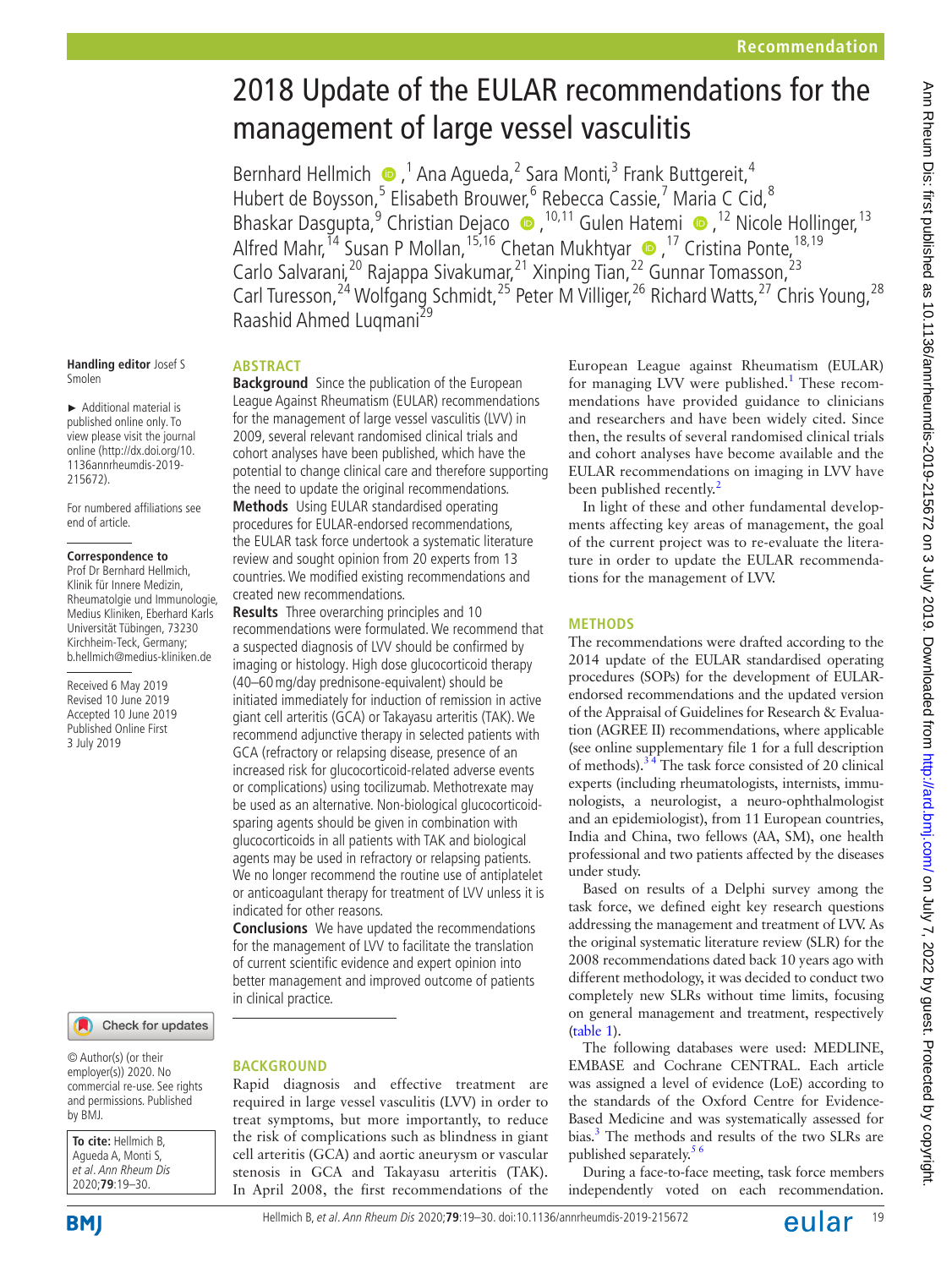# 2018 Update of the EULAR recommendations for the management of large vessel vasculitis

BernhardHellmich  $\bullet$ , <sup>1</sup> Ana Agueda, <sup>2</sup> Sara Monti, <sup>3</sup> Frank Buttgereit, <sup>4</sup> Hubert de Boysson,<sup>5</sup> Elisabeth Brouwer,<sup>6</sup> Rebecca Cassie,<sup>7</sup> Maria C Cid,<sup>8</sup> BhaskarDasgupta, <sup>9</sup> Christian Dejaco (D, 10,11 Gulen Hatemi (D, <sup>12</sup> Nicole Hollinger, <sup>13</sup> AlfredMahr,<sup>14</sup> Susan P Mollan,<sup>15,16</sup> Chetan Mukhtyar (D, <sup>17</sup> Cristina Ponte, <sup>18,19</sup> Carlo Salvarani,<sup>20</sup> Rajappa Sivakumar,<sup>21</sup> Xinping Tian,<sup>22</sup> Gunnar Tomasson,<sup>23</sup> Carl Turesson,<sup>24</sup> Wolfgang Schmidt,<sup>25</sup> Peter M Villiger,<sup>26</sup> Richard Watts,<sup>27</sup> Chris Young,<sup>28</sup> Raashid Ahmed Luqmani<sup>29</sup>

#### **Handling editor** Josef S Smolen

► Additional material is published online only. To view please visit the journal online ([http://dx.doi.org/10.](http://dx.doi.org/10.1136annrheumdis-2019-215672) [1136annrheumdis-2019-](http://dx.doi.org/10.1136annrheumdis-2019-215672) [215672](http://dx.doi.org/10.1136annrheumdis-2019-215672)).

For numbered affiliations see end of article.

#### **Correspondence to**

Prof Dr Bernhard Hellmich, Klinik für Innere Medizin, Rheumatolgie und Immunologie, Medius Kliniken, Eberhard Karls Universität Tübingen, 73230 Kirchheim-Teck, Germany; b.hellmich@medius-kliniken.de

Received 6 May 2019 Revised 10 June 2019 Accepted 10 June 2019 Published Online First 3 July 2019

# Check for updates

© Author(s) (or their employer(s)) 2020. No commercial re-use. See rights and permissions. Published by BMJ.

**To cite:** Hellmich B, Agueda A, Monti S, et al. Ann Rheum Dis 2020;**79**:19–30.

**BMI** 

# **ABSTRACT**

**Background** Since the publication of the European League Against Rheumatism (EULAR) recommendations for the management of large vessel vasculitis (LVV) in 2009, several relevant randomised clinical trials and cohort analyses have been published, which have the potential to change clinical care and therefore supporting the need to update the original recommendations. **Methods** Using EULAR standardised operating procedures for EULAR-endorsed recommendations, the EULAR task force undertook a systematic literature review and sought opinion from 20 experts from 13 countries. We modified existing recommendations and created new recommendations.

**Results** Three overarching principles and 10 recommendations were formulated. We recommend that a suspected diagnosis of LVV should be confirmed by imaging or histology. High dose glucocorticoid therapy (40–60mg/day prednisone-equivalent) should be initiated immediately for induction of remission in active giant cell arteritis (GCA) or Takayasu arteritis (TAK). We recommend adjunctive therapy in selected patients with GCA (refractory or relapsing disease, presence of an increased risk for glucocorticoid-related adverse events or complications) using tocilizumab. Methotrexate may be used as an alternative. Non-biological glucocorticoidsparing agents should be given in combination with glucocorticoids in all patients with TAK and biological agents may be used in refractory or relapsing patients. We no longer recommend the routine use of antiplatelet or anticoagulant therapy for treatment of LVV unless it is indicated for other reasons.

**Conclusions** We have updated the recommendations for the management of LVV to facilitate the translation of current scientific evidence and expert opinion into better management and improved outcome of patients in clinical practice.

# **BACKGROUND**

Rapid diagnosis and effective treatment are required in large vessel vasculitis (LVV) in order to treat symptoms, but more importantly, to reduce the risk of complications such as blindness in giant cell arteritis (GCA) and aortic aneurysm or vascular stenosis in GCA and Takayasu arteritis (TAK). In April 2008, the first recommendations of the European League against Rheumatism (EULAR) for managing LVV were published.<sup>1</sup> These recommendations have provided guidance to clinicians and researchers and have been widely cited. Since then, the results of several randomised clinical trials and cohort analyses have become available and the EULAR recommendations on imaging in LVV have been published recently.<sup>[2](#page-8-1)</sup>

In light of these and other fundamental developments affecting key areas of management, the goal of the current project was to re-evaluate the literature in order to update the EULAR recommendations for the management of LVV.

# **Methods**

The recommendations were drafted according to the 2014 update of the EULAR standardised operating procedures (SOPs) for the development of EULARendorsed recommendations and the updated version of the Appraisal of Guidelines for Research & Evaluation (AGREE II) recommendations, where applicable (see [online supplementary file 1](https://dx.doi.org/10.1136/annrheumdis-2019-215672) for a full description of methods). $34$  The task force consisted of 20 clinical experts (including rheumatologists, internists, immunologists, a neurologist, a neuro-ophthalmologist and an epidemiologist), from 11 European countries, India and China, two fellows (AA, SM), one health professional and two patients affected by the diseases under study.

Based on results of a Delphi survey among the task force, we defined eight key research questions addressing the management and treatment of LVV. As the original systematic literature review (SLR) for the 2008 recommendations dated back 10 years ago with different methodology, it was decided to conduct two completely new SLRs without time limits, focusing on general management and treatment, respectively ([table](#page-1-0) 1).

The following databases were used: MEDLINE, EMBASE and Cochrane CENTRAL. Each article was assigned a level of evidence (LoE) according to the standards of the Oxford Centre for Evidence-Based Medicine and was systematically assessed for bias.<sup>3</sup> The methods and results of the two SLRs are published separately.<sup>56</sup>

During a face-to-face meeting, task force members independently voted on each recommendation.

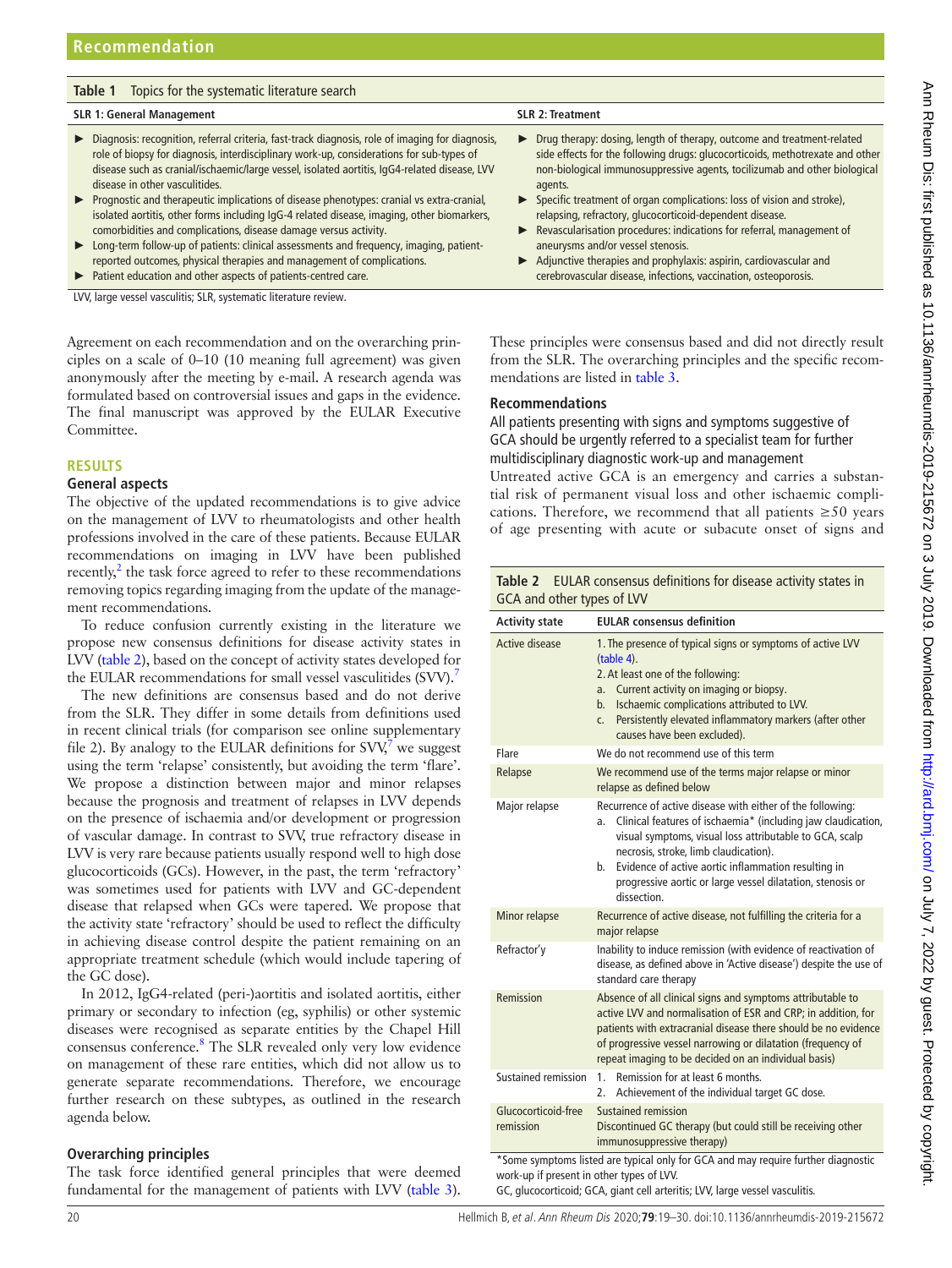## <span id="page-1-0"></span>**Table 1** Topics for the systematic literature search

## **SLR 1: General Management SLR 2: Treatment**

- ► Diagnosis: recognition, referral criteria, fast-track diagnosis, role of imaging for diagnosis, role of biopsy for diagnosis, interdisciplinary work-up, considerations for sub-types of disease such as cranial/ischaemic/large vessel, isolated aortitis, IgG4-related disease, LVV disease in other vasculitides.
- ► Prognostic and therapeutic implications of disease phenotypes: cranial vs extra-cranial, isolated aortitis, other forms including IgG-4 related disease, imaging, other biomarkers, comorbidities and complications, disease damage versus activity.
- Long-term follow-up of patients: clinical assessments and frequency, imaging, patientreported outcomes, physical therapies and management of complications.
- Patient education and other aspects of patients-centred care.

LVV, large vessel vasculitis; SLR, systematic literature review.

Agreement on each recommendation and on the overarching principles on a scale of 0–10 (10 meaning full agreement) was given anonymously after the meeting by e-mail. A research agenda was formulated based on controversial issues and gaps in the evidence. The final manuscript was approved by the EULAR Executive Committee.

## **Results**

## **General aspects**

The objective of the updated recommendations is to give advice on the management of LVV to rheumatologists and other health professions involved in the care of these patients. Because EULAR recommendations on imaging in LVV have been published recently, $^2$  the task force agreed to refer to these recommendations removing topics regarding imaging from the update of the management recommendations.

To reduce confusion currently existing in the literature we propose new consensus definitions for disease activity states in LVV ([table](#page-1-1) 2), based on the concept of activity states developed for the EULAR recommendations for small vessel vasculitides (SVV).<sup>7</sup>

The new definitions are consensus based and do not derive from the SLR. They differ in some details from definitions used in recent clinical trials (for comparison see [online supplementary](https://dx.doi.org/10.1136/annrheumdis-2019-215672)  [file 2](https://dx.doi.org/10.1136/annrheumdis-2019-215672)). By analogy to the EULAR definitions for  $\text{SVV}^7$  $\text{SVV}^7$  we suggest using the term 'relapse' consistently, but avoiding the term 'flare'. We propose a distinction between major and minor relapses because the prognosis and treatment of relapses in LVV depends on the presence of ischaemia and/or development or progression of vascular damage. In contrast to SVV, true refractory disease in LVV is very rare because patients usually respond well to high dose glucocorticoids (GCs). However, in the past, the term 'refractory' was sometimes used for patients with LVV and GC-dependent disease that relapsed when GCs were tapered. We propose that the activity state 'refractory' should be used to reflect the difficulty in achieving disease control despite the patient remaining on an appropriate treatment schedule (which would include tapering of the GC dose).

In 2012, IgG4-related (peri-)aortitis and isolated aortitis, either primary or secondary to infection (eg, syphilis) or other systemic diseases were recognised as separate entities by the Chapel Hill consensus conference.<sup>[8](#page-8-5)</sup> The SLR revealed only very low evidence on management of these rare entities, which did not allow us to generate separate recommendations. Therefore, we encourage further research on these subtypes, as outlined in the research agenda below.

## **Overarching principles**

The task force identified general principles that were deemed fundamental for the management of patients with LVV [\(table](#page-2-0) 3).

- 
- ► Drug therapy: dosing, length of therapy, outcome and treatment-related side effects for the following drugs: glucocorticoids, methotrexate and other non-biological immunosuppressive agents, tocilizumab and other biological agents.
- Specific treatment of organ complications: loss of vision and stroke), relapsing, refractory, glucocorticoid-dependent disease.
- Revascularisation procedures: indications for referral, management of aneurysms and/or vessel stenosis.
- Adjunctive therapies and prophylaxis: aspirin, cardiovascular and cerebrovascular disease, infections, vaccination, osteoporosis.

These principles were consensus based and did not directly result from the SLR. The overarching principles and the specific recommendations are listed in [table](#page-2-0) 3.

## **Recommendations**

All patients presenting with signs and symptoms suggestive of GCA should be urgently referred to a specialist team for further multidisciplinary diagnostic work-up and management

Untreated active GCA is an emergency and carries a substantial risk of permanent visual loss and other ischaemic complications. Therefore, we recommend that all patients  $\geq 50$  years of age presenting with acute or subacute onset of signs and

<span id="page-1-1"></span>

| Table 2 EULAR consensus definitions for disease activity states in<br>GCA and other types of LVV |                                                                                                                                                                                                                                                                                                                                                                                     |  |  |  |  |
|--------------------------------------------------------------------------------------------------|-------------------------------------------------------------------------------------------------------------------------------------------------------------------------------------------------------------------------------------------------------------------------------------------------------------------------------------------------------------------------------------|--|--|--|--|
| <b>Activity state</b>                                                                            | <b>EULAR</b> consensus definition                                                                                                                                                                                                                                                                                                                                                   |  |  |  |  |
| Active disease                                                                                   | 1. The presence of typical signs or symptoms of active LVV<br>(table 4).<br>2. At least one of the following:<br>Current activity on imaging or biopsy.<br>a.<br>Ischaemic complications attributed to LVV.<br>$b_{1}$<br>Persistently elevated inflammatory markers (after other<br>$\mathsf{C}$ .<br>causes have been excluded).                                                  |  |  |  |  |
| Flare                                                                                            | We do not recommend use of this term                                                                                                                                                                                                                                                                                                                                                |  |  |  |  |
| Relapse                                                                                          | We recommend use of the terms major relapse or minor<br>relapse as defined below                                                                                                                                                                                                                                                                                                    |  |  |  |  |
| Major relapse                                                                                    | Recurrence of active disease with either of the following:<br>Clinical features of ischaemia* (including jaw claudication,<br>a.<br>visual symptoms, visual loss attributable to GCA, scalp<br>necrosis, stroke, limb claudication).<br>Evidence of active aortic inflammation resulting in<br>$h_{-}$<br>progressive aortic or large vessel dilatation, stenosis or<br>dissection. |  |  |  |  |
| <b>Minor relapse</b>                                                                             | Recurrence of active disease, not fulfilling the criteria for a<br>major relapse                                                                                                                                                                                                                                                                                                    |  |  |  |  |
| Refractor'y                                                                                      | Inability to induce remission (with evidence of reactivation of<br>disease, as defined above in 'Active disease') despite the use of<br>standard care therapy                                                                                                                                                                                                                       |  |  |  |  |
| Remission                                                                                        | Absence of all clinical signs and symptoms attributable to<br>active LVV and normalisation of ESR and CRP; in addition, for<br>patients with extracranial disease there should be no evidence                                                                                                                                                                                       |  |  |  |  |

of progressive vessel narrowing or dilatation (frequency of repeat imaging to be decided on an individual basis)

Discontinued GC therapy (but could still be receiving other

2. Achievement of the individual target GC dose.

immunosuppressive therapy) \*Some symptoms listed are typical only for GCA and may require further diagnostic

GC, glucocorticoid; GCA, giant cell arteritis; LVV, large vessel vasculitis.

Sustained remission 1. Remission for at least 6 months.

Sustained remission

Glucocorticoid-free remission

work-up if present in other types of LVV.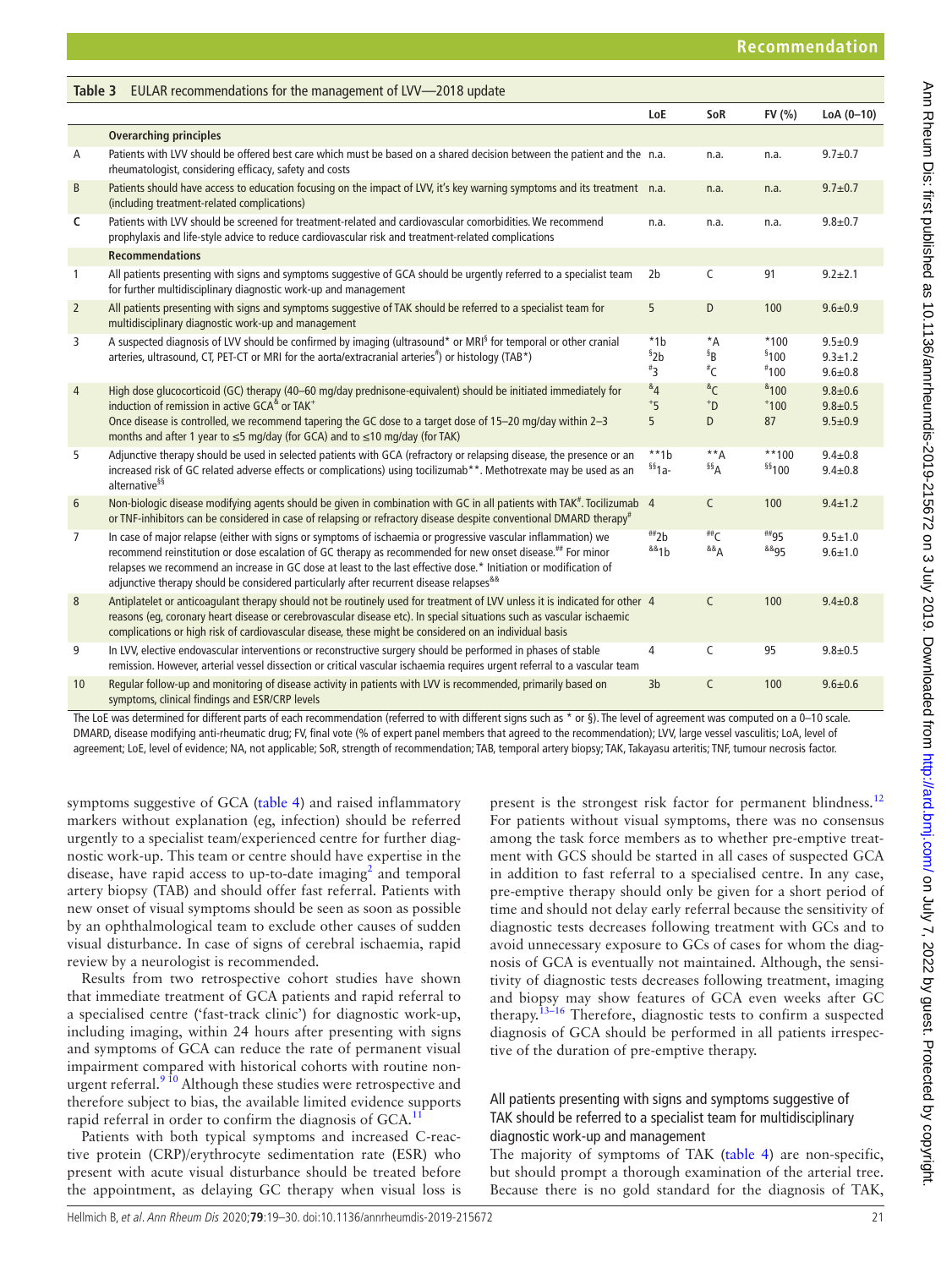<span id="page-2-0"></span>

|                | Table 3 EULAR recommendations for the management of LVV-2018 update                                                                                                                                                                                                                                                                                                                                                                                                        |                                |                                                |                                      |                                             |
|----------------|----------------------------------------------------------------------------------------------------------------------------------------------------------------------------------------------------------------------------------------------------------------------------------------------------------------------------------------------------------------------------------------------------------------------------------------------------------------------------|--------------------------------|------------------------------------------------|--------------------------------------|---------------------------------------------|
|                |                                                                                                                                                                                                                                                                                                                                                                                                                                                                            | LoE                            | SoR                                            | FV (%)                               | $LoA (0-10)$                                |
|                | <b>Overarching principles</b>                                                                                                                                                                                                                                                                                                                                                                                                                                              |                                |                                                |                                      |                                             |
| Α              | Patients with LVV should be offered best care which must be based on a shared decision between the patient and the n.a.<br>rheumatologist, considering efficacy, safety and costs                                                                                                                                                                                                                                                                                          |                                | n.a.                                           | n.a.                                 | $9.7 + 0.7$                                 |
| B              | Patients should have access to education focusing on the impact of LVV, it's key warning symptoms and its treatment n.a.<br>(including treatment-related complications)                                                                                                                                                                                                                                                                                                    |                                | n.a.                                           | n.a.                                 | $9.7 \pm 0.7$                               |
| C              | Patients with LVV should be screened for treatment-related and cardiovascular comorbidities. We recommend<br>prophylaxis and life-style advice to reduce cardiovascular risk and treatment-related complications                                                                                                                                                                                                                                                           | n.a.                           | n.a.                                           | n.a.                                 | $9.8 + 0.7$                                 |
|                | <b>Recommendations</b>                                                                                                                                                                                                                                                                                                                                                                                                                                                     |                                |                                                |                                      |                                             |
| $\mathbf{1}$   | All patients presenting with signs and symptoms suggestive of GCA should be urgently referred to a specialist team<br>for further multidisciplinary diagnostic work-up and management                                                                                                                                                                                                                                                                                      | 2 <sub>b</sub>                 | C                                              | 91                                   | $9.2 + 2.1$                                 |
| $\overline{2}$ | All patients presenting with signs and symptoms suggestive of TAK should be referred to a specialist team for<br>multidisciplinary diagnostic work-up and management                                                                                                                                                                                                                                                                                                       | 5                              | D                                              | 100                                  | $9.6 + 0.9$                                 |
| 3              | A suspected diagnosis of LVV should be confirmed by imaging (ultrasound* or MRI <sup>§</sup> for temporal or other cranial<br>arteries, ultrasound, CT, PET-CT or MRI for the aorta/extracranial arteries <sup>#</sup> ) or histology (TAB <sup>*</sup> )                                                                                                                                                                                                                  | $*1b$<br>${}^{5}2b$<br>$*_{3}$ | $*_{A}$<br>§B<br>#C                            | $*100$<br><sup>§</sup> 100<br>$*100$ | $9.5 + 0.9$<br>$9.3 + 1.2$<br>$9.6 + 0.8$   |
| $\overline{4}$ | High dose glucocorticoid (GC) therapy (40–60 mg/day prednisone-equivalent) should be initiated immediately for<br>induction of remission in active GCA <sup>&amp;</sup> or TAK <sup>+</sup><br>Once disease is controlled, we recommend tapering the GC dose to a target dose of 15-20 mg/day within 2-3<br>months and after 1 year to $\leq$ 5 mg/day (for GCA) and to $\leq$ 10 mg/day (for TAK)                                                                         | $^{84}$<br>$+5$<br>5           | $\alpha$ <sup>8</sup> C<br>$\overline{D}$<br>D | 8100<br>$*100$<br>87                 | $9.8 + 0.6$<br>$9.8 + 0.5$<br>$9.5 \pm 0.9$ |
| 5              | Adjunctive therapy should be used in selected patients with GCA (refractory or relapsing disease, the presence or an<br>increased risk of GC related adverse effects or complications) using tocilizumab**. Methotrexate may be used as an<br>alternative <sup>§§</sup>                                                                                                                                                                                                    | $**1b$<br>$551a-$              | $**A$<br>55A                                   | $**100$<br>$$^{55}100$               | $9.4 + 0.8$<br>$9.4 + 0.8$                  |
| 6              | Non-biologic disease modifying agents should be given in combination with GC in all patients with TAK#. Tocilizumab 4<br>or TNF-inhibitors can be considered in case of relapsing or refractory disease despite conventional DMARD therapy <sup>#</sup>                                                                                                                                                                                                                    |                                | $\mathsf{C}$                                   | 100                                  | $9.4 \pm 1.2$                               |
| $\overline{7}$ | In case of major relapse (either with signs or symptoms of ischaemia or progressive vascular inflammation) we<br>recommend reinstitution or dose escalation of GC therapy as recommended for new onset disease. <sup>##</sup> For minor<br>relapses we recommend an increase in GC dose at least to the last effective dose.* Initiation or modification of<br>adjunctive therapy should be considered particularly after recurrent disease relapses <sup>&amp;&amp;</sup> | ##2h<br>881b                   | $+$ <sup>##</sup> C<br><sup>&amp;&amp;</sup> A | ##95<br>88q5                         | $9.5 + 1.0$<br>$9.6 + 1.0$                  |
| 8              | Antiplatelet or anticoaqulant therapy should not be routinely used for treatment of LVV unless it is indicated for other 4<br>reasons (eq, coronary heart disease or cerebrovascular disease etc). In special situations such as vascular ischaemic<br>complications or high risk of cardiovascular disease, these might be considered on an individual basis                                                                                                              |                                | $\mathsf{C}$                                   | 100                                  | $9.4 + 0.8$                                 |
| 9              | In LVV, elective endovascular interventions or reconstructive surgery should be performed in phases of stable<br>remission. However, arterial vessel dissection or critical vascular ischaemia requires urgent referral to a vascular team                                                                                                                                                                                                                                 | $\overline{4}$                 | C                                              | 95                                   | $9.8 + 0.5$                                 |
| 10             | Regular follow-up and monitoring of disease activity in patients with LVV is recommended, primarily based on<br>symptoms, clinical findings and ESR/CRP levels                                                                                                                                                                                                                                                                                                             | 3 <sub>b</sub>                 | C                                              | 100                                  | $9.6 + 0.6$                                 |

The LoE was determined for different parts of each recommendation (referred to with different signs such as \* or §). The level of agreement was computed on a 0-10 scale. DMARD, disease modifying anti-rheumatic drug; FV, final vote (% of expert panel members that agreed to the recommendation); LVV, large vessel vasculitis; LoA, level of agreement; LoE, level of evidence; NA, not applicable; SoR, strength of recommendation; TAB, temporal artery biopsy; TAK, Takayasu arteritis; TNF, tumour necrosis factor.

symptoms suggestive of GCA [\(table](#page-3-0) 4) and raised inflammatory markers without explanation (eg, infection) should be referred urgently to a specialist team/experienced centre for further diagnostic work-up. This team or centre should have expertise in the disease, have rapid access to up-to-date imaging<sup>[2](#page-8-1)</sup> and temporal artery biopsy (TAB) and should offer fast referral. Patients with new onset of visual symptoms should be seen as soon as possible by an ophthalmological team to exclude other causes of sudden visual disturbance. In case of signs of cerebral ischaemia, rapid review by a neurologist is recommended.

Results from two retrospective cohort studies have shown that immediate treatment of GCA patients and rapid referral to a specialised centre ('fast-track clinic') for diagnostic work-up, including imaging, within 24 hours after presenting with signs and symptoms of GCA can reduce the rate of permanent visual impairment compared with historical cohorts with routine nonurgent referral.<sup>9 10</sup> Although these studies were retrospective and therefore subject to bias, the available limited evidence supports rapid referral in order to confirm the diagnosis of  $GCA$ .<sup>[11](#page-8-7)</sup>

Patients with both typical symptoms and increased C-reactive protein (CRP)/erythrocyte sedimentation rate (ESR) who present with acute visual disturbance should be treated before the appointment, as delaying GC therapy when visual loss is present is the strongest risk factor for permanent blindness.<sup>[12](#page-8-8)</sup> For patients without visual symptoms, there was no consensus among the task force members as to whether pre-emptive treatment with GCS should be started in all cases of suspected GCA in addition to fast referral to a specialised centre. In any case, pre-emptive therapy should only be given for a short period of time and should not delay early referral because the sensitivity of diagnostic tests decreases following treatment with GCs and to avoid unnecessary exposure to GCs of cases for whom the diagnosis of GCA is eventually not maintained. Although, the sensitivity of diagnostic tests decreases following treatment, imaging and biopsy may show features of GCA even weeks after GC therapy.<sup>13-16</sup> Therefore, diagnostic tests to confirm a suspected diagnosis of GCA should be performed in all patients irrespective of the duration of pre-emptive therapy.

# All patients presenting with signs and symptoms suggestive of TAK should be referred to a specialist team for multidisciplinary diagnostic work-up and management

The majority of symptoms of TAK ([table](#page-3-0) 4) are non-specific, but should prompt a thorough examination of the arterial tree. Because there is no gold standard for the diagnosis of TAK,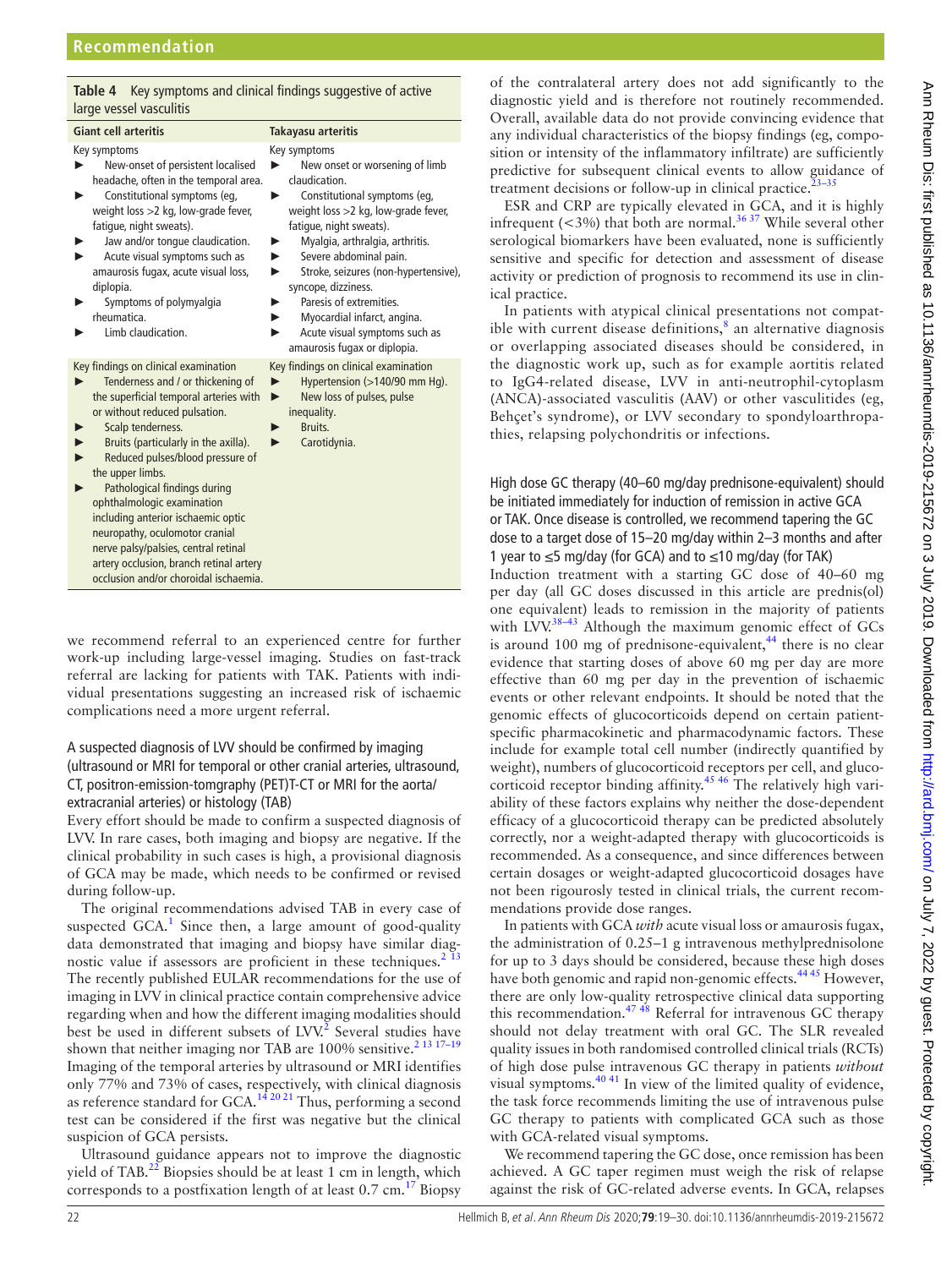| <b>Giant cell arteritis</b>                                                                                                                                                                                                                                                                                                                                                                                                                                                                                                                 | Takayasu arteritis                                                                                                                                                                                                                                                                                                                                                                                                                                     |
|---------------------------------------------------------------------------------------------------------------------------------------------------------------------------------------------------------------------------------------------------------------------------------------------------------------------------------------------------------------------------------------------------------------------------------------------------------------------------------------------------------------------------------------------|--------------------------------------------------------------------------------------------------------------------------------------------------------------------------------------------------------------------------------------------------------------------------------------------------------------------------------------------------------------------------------------------------------------------------------------------------------|
| Key symptoms<br>New-onset of persistent localised<br>headache, often in the temporal area.<br>Constitutional symptoms (eq,<br>▶<br>weight loss >2 kg, low-grade fever,<br>fatique, night sweats).<br>Jaw and/or tonque claudication.<br>Acute visual symptoms such as<br>▶<br>amaurosis fugax, acute visual loss,<br>diplopia.<br>Symptoms of polymyalgia<br>rheumatica.<br>Limb claudication.                                                                                                                                              | Key symptoms<br>New onset or worsening of limb<br>claudication.<br>Constitutional symptoms (eg,<br>▶<br>weight loss >2 kg, low-grade fever,<br>fatique, night sweats).<br>Myalgia, arthralgia, arthritis.<br>▶<br>Severe abdominal pain.<br>▶<br>Stroke, seizures (non-hypertensive),<br>▶<br>syncope, dizziness.<br>Paresis of extremities.<br>▶<br>Myocardial infarct, angina.<br>Acute visual symptoms such as<br>▶<br>amaurosis fugax or diplopia. |
| Key findings on clinical examination<br>Tenderness and / or thickening of<br>the superficial temporal arteries with<br>or without reduced pulsation.<br>Scalp tenderness.<br>Bruits (particularly in the axilla).<br>Reduced pulses/blood pressure of<br>the upper limbs.<br>Pathological findings during<br>ophthalmologic examination<br>including anterior ischaemic optic<br>neuropathy, oculomotor cranial<br>nerve palsy/palsies, central retinal<br>artery occlusion, branch retinal artery<br>occlusion and/or choroidal ischaemia. | Key findings on clinical examination<br>Hypertension (>140/90 mm Hg).<br>New loss of pulses, pulse<br>▶<br>inequality.<br>Bruits.<br>Carotidynia.<br>▶                                                                                                                                                                                                                                                                                                 |

<span id="page-3-0"></span>**Table 4** Key symptoms and clinical findings suggestive of active

we recommend referral to an experienced centre for further work-up including large-vessel imaging. Studies on fast-track referral are lacking for patients with TAK. Patients with individual presentations suggesting an increased risk of ischaemic complications need a more urgent referral.

# A suspected diagnosis of LVV should be confirmed by imaging (ultrasound or MRI for temporal or other cranial arteries, ultrasound, CT, positron-emission-tomgraphy (PET)T-CT or MRI for the aorta/ extracranial arteries) or histology (TAB)

Every effort should be made to confirm a suspected diagnosis of LVV. In rare cases, both imaging and biopsy are negative. If the clinical probability in such cases is high, a provisional diagnosis of GCA may be made, which needs to be confirmed or revised during follow-up.

The original recommendations advised TAB in every case of suspected  $GCA$ <sup>1</sup> Since then, a large amount of good-quality data demonstrated that imaging and biopsy have similar diag-nostic value if assessors are proficient in these techniques.<sup>[2 13](#page-8-1)</sup> The recently published EULAR recommendations for the use of imaging in LVV in clinical practice contain comprehensive advice regarding when and how the different imaging modalities should best be used in different subsets of LVV.<sup>[2](#page-8-1)</sup> Several studies have shown that neither imaging nor TAB are 100% sensitive.<sup>2 13 17-19</sup> Imaging of the temporal arteries by ultrasound or MRI identifies only 77% and 73% of cases, respectively, with clinical diagnosis as reference standard for GCA.[14 20 21](#page-8-10) Thus, performing a second test can be considered if the first was negative but the clinical suspicion of GCA persists.

Ultrasound guidance appears not to improve the diagnostic yield of TAB. $^{22}$  Biopsies should be at least 1 cm in length, which corresponds to a postfixation length of at least  $0.7 \text{ cm}$ .<sup>[17](#page-8-11)</sup> Biopsy

of the contralateral artery does not add significantly to the diagnostic yield and is therefore not routinely recommended. Overall, available data do not provide convincing evidence that any individual characteristics of the biopsy findings (eg, composition or intensity of the inflammatory infiltrate) are sufficiently predictive for subsequent clinical events to allow guidance of treatment decisions or follow-up in clinical practice.<sup>23-3</sup>

ESR and CRP are typically elevated in GCA, and it is highly infrequent (<3%) that both are normal.<sup>36,37</sup> While several other serological biomarkers have been evaluated, none is sufficiently sensitive and specific for detection and assessment of disease activity or prediction of prognosis to recommend its use in clinical practice.

In patients with atypical clinical presentations not compat-ible with current disease definitions,<sup>[8](#page-8-5)</sup> an alternative diagnosis or overlapping associated diseases should be considered, in the diagnostic work up, such as for example aortitis related to IgG4-related disease, LVV in anti-neutrophil-cytoplasm (ANCA)-associated vasculitis (AAV) or other vasculitides (eg, Behçet's syndrome), or LVV secondary to spondyloarthropathies, relapsing polychondritis or infections.

High dose GC therapy (40–60 mg/day prednisone-equivalent) should be initiated immediately for induction of remission in active GCA or TAK. Once disease is controlled, we recommend tapering the GC dose to a target dose of 15–20 mg/day within 2–3 months and after 1 year to ≤5 mg/day (for GCA) and to ≤10 mg/day (for TAK)

Induction treatment with a starting GC dose of 40–60 mg per day (all GC doses discussed in this article are prednis(ol) one equivalent) leads to remission in the majority of patients with LVV.<sup>38-43</sup> Although the maximum genomic effect of GCs is around 100 mg of prednisone-equivalent, $44$  there is no clear evidence that starting doses of above 60 mg per day are more effective than 60 mg per day in the prevention of ischaemic events or other relevant endpoints. It should be noted that the genomic effects of glucocorticoids depend on certain patientspecific pharmacokinetic and pharmacodynamic factors. These include for example total cell number (indirectly quantified by weight), numbers of glucocorticoid receptors per cell, and gluco-corticoid receptor binding affinity.<sup>[45 46](#page-9-5)</sup> The relatively high variability of these factors explains why neither the dose-dependent efficacy of a glucocorticoid therapy can be predicted absolutely correctly, nor a weight-adapted therapy with glucocorticoids is recommended. As a consequence, and since differences between certain dosages or weight-adapted glucocorticoid dosages have not been rigourosly tested in clinical trials, the current recommendations provide dose ranges.

In patients with GCA *with* acute visual loss or amaurosis fugax, the administration of 0.25–1 g intravenous methylprednisolone for up to 3 days should be considered, because these high doses have both genomic and rapid non-genomic effects.<sup>44 45</sup> However, there are only low-quality retrospective clinical data supporting this recommendation.[47 48](#page-9-6) Referral for intravenous GC therapy should not delay treatment with oral GC. The SLR revealed quality issues in both randomised controlled clinical trials (RCTs) of high dose pulse intravenous GC therapy in patients *without* visual symptoms.[40 41](#page-9-7) In view of the limited quality of evidence, the task force recommends limiting the use of intravenous pulse GC therapy to patients with complicated GCA such as those with GCA-related visual symptoms.

We recommend tapering the GC dose, once remission has been achieved. A GC taper regimen must weigh the risk of relapse against the risk of GC-related adverse events. In GCA, relapses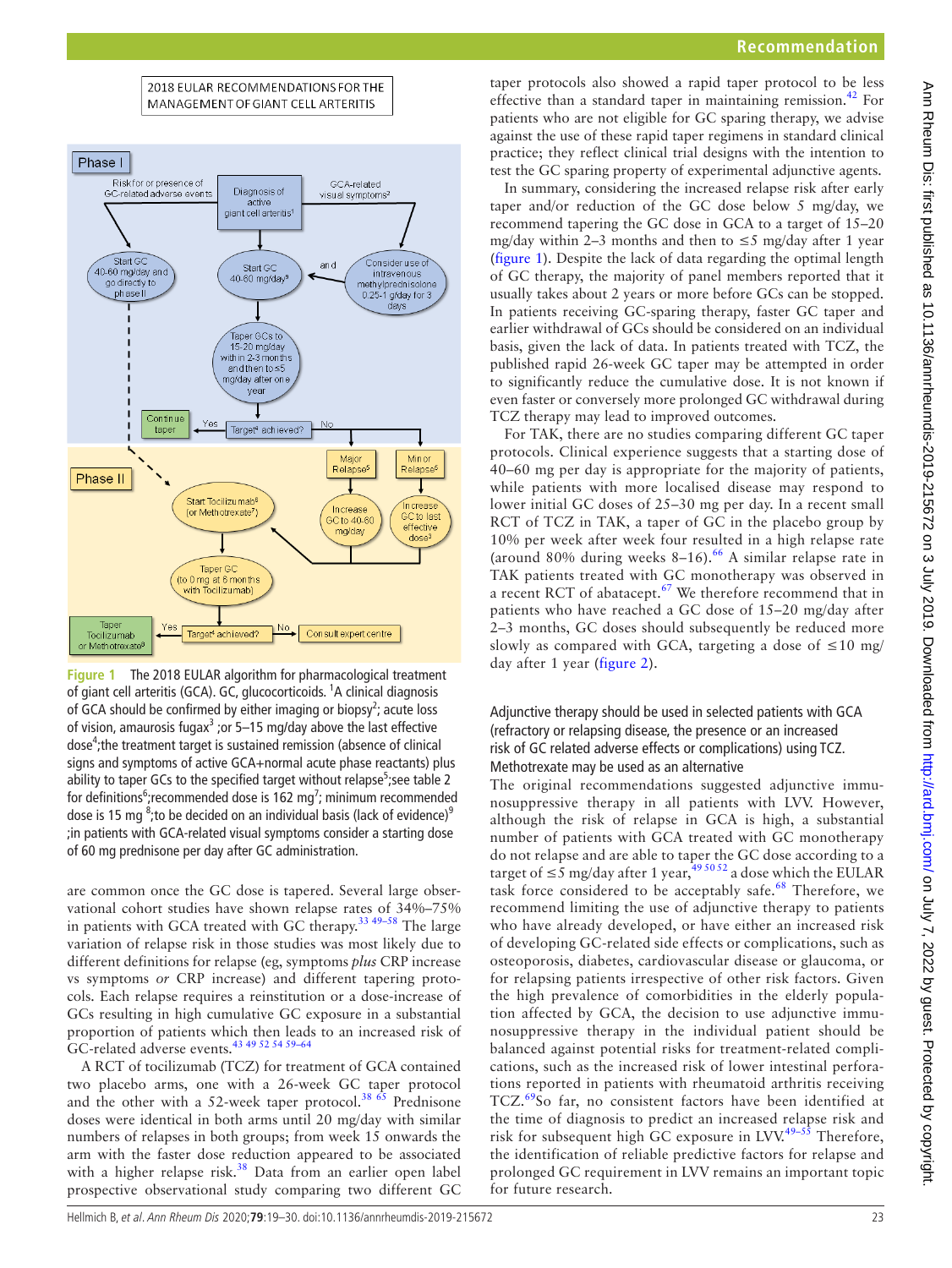2018 EULAR RECOMMENDATIONS FOR THE MANAGEMENT OF GIANT CELL ARTERITIS



<span id="page-4-0"></span>**Figure 1** The 2018 EULAR algorithm for pharmacological treatment of giant cell arteritis (GCA). GC, glucocorticoids. <sup>1</sup>A clinical diagnosis of GCA should be confirmed by either imaging or biopsy<sup>2</sup>; acute loss of vision, amaurosis fugax $3$ ; or 5–15 mg/day above the last effective dose<sup>4</sup>; the treatment target is sustained remission (absence of clinical signs and symptoms of active GCA+normal acute phase reactants) plus ability to taper GCs to the specified target without relapse<sup>5</sup>; see [table 2](#page-1-1) for definitions<sup>6</sup>; recommended dose is 162 mg<sup>7</sup>; minimum recommended dose is 15 mg  $8$ ;to be decided on an individual basis (lack of evidence) $9$ ;in patients with GCA-related visual symptoms consider a starting dose of 60 mg prednisone per day after GC administration.

are common once the GC dose is tapered. Several large observational cohort studies have shown relapse rates of 34%–75% in patients with GCA treated with GC therapy. $33\frac{49-58}{10}$  The large variation of relapse risk in those studies was most likely due to different definitions for relapse (eg, symptoms *plus* CRP increase vs symptoms *or* CRP increase) and different tapering protocols. Each relapse requires a reinstitution or a dose-increase of GCs resulting in high cumulative GC exposure in a substantial proportion of patients which then leads to an increased risk of GC-related adverse events.<sup>43</sup> 49 52 54 59-6

A RCT of tocilizumab (TCZ) for treatment of GCA contained two placebo arms, one with a 26-week GC taper protocol and the other with a 52-week taper protocol.<sup>38  $\hat{65}$ </sup> Prednisone doses were identical in both arms until 20 mg/day with similar numbers of relapses in both groups; from week 15 onwards the arm with the faster dose reduction appeared to be associated with a higher relapse risk.<sup>38</sup> Data from an earlier open label prospective observational study comparing two different GC

## **Recommendation**

taper protocols also showed a rapid taper protocol to be less effective than a standard taper in maintaining remission.<sup>42</sup> For patients who are not eligible for GC sparing therapy, we advise against the use of these rapid taper regimens in standard clinical practice; they reflect clinical trial designs with the intention to test the GC sparing property of experimental adjunctive agents.

In summary, considering the increased relapse risk after early taper and/or reduction of the GC dose below 5 mg/day, we recommend tapering the GC dose in GCA to a target of 15–20 mg/day within 2–3 months and then to  $\leq$ 5 mg/day after 1 year ([figure](#page-4-0) 1). Despite the lack of data regarding the optimal length of GC therapy, the majority of panel members reported that it usually takes about 2 years or more before GCs can be stopped. In patients receiving GC-sparing therapy, faster GC taper and earlier withdrawal of GCs should be considered on an individual basis, given the lack of data. In patients treated with TCZ, the published rapid 26-week GC taper may be attempted in order to significantly reduce the cumulative dose. It is not known if even faster or conversely more prolonged GC withdrawal during TCZ therapy may lead to improved outcomes.

For TAK, there are no studies comparing different GC taper protocols. Clinical experience suggests that a starting dose of 40–60 mg per day is appropriate for the majority of patients, while patients with more localised disease may respond to lower initial GC doses of 25–30 mg per day. In a recent small RCT of TCZ in TAK, a taper of GC in the placebo group by 10% per week after week four resulted in a high relapse rate (around 80% during weeks  $8-16$ ).<sup>66</sup> A similar relapse rate in TAK patients treated with GC monotherapy was observed in a recent RCT of abatacept.<sup>67</sup> We therefore recommend that in patients who have reached a GC dose of 15–20 mg/day after 2–3 months, GC doses should subsequently be reduced more slowly as compared with GCA, targeting a dose of  $\leq 10$  mg/ day after 1 year ([figure](#page-5-0) 2).

# Adjunctive therapy should be used in selected patients with GCA (refractory or relapsing disease, the presence or an increased risk of GC related adverse effects or complications) using TCZ. Methotrexate may be used as an alternative

The original recommendations suggested adjunctive immunosuppressive therapy in all patients with LVV. However, although the risk of relapse in GCA is high, a substantial number of patients with GCA treated with GC monotherapy do not relapse and are able to taper the GC dose according to a target of  $\leq 5$  mg/day after 1 year,  $495052$  a dose which the EULAR task force considered to be acceptably safe.<sup>[68](#page-9-14)</sup> Therefore, we recommend limiting the use of adjunctive therapy to patients who have already developed, or have either an increased risk of developing GC-related side effects or complications, such as osteoporosis, diabetes, cardiovascular disease or glaucoma, or for relapsing patients irrespective of other risk factors. Given the high prevalence of comorbidities in the elderly population affected by GCA, the decision to use adjunctive immunosuppressive therapy in the individual patient should be balanced against potential risks for treatment-related complications, such as the increased risk of lower intestinal perforations reported in patients with rheumatoid arthritis receiving TCZ.<sup>[69](#page-9-15)</sup>So far, no consistent factors have been identified at the time of diagnosis to predict an increased relapse risk and risk for subsequent high GC exposure in LVV.<sup>49-55</sup> Therefore. the identification of reliable predictive factors for relapse and prolonged GC requirement in LVV remains an important topic for future research.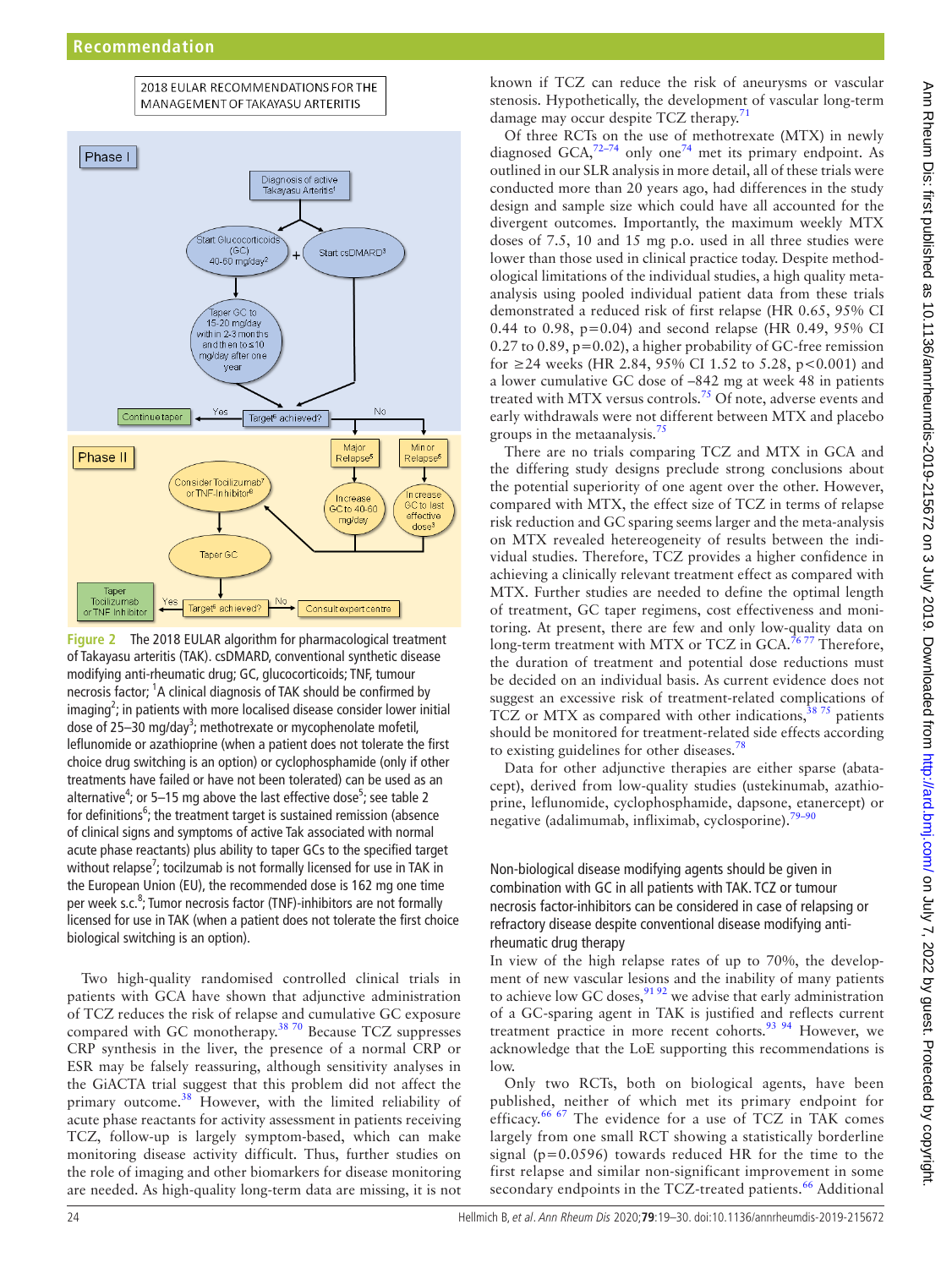



<span id="page-5-0"></span>**Figure 2** The 2018 EULAR algorithm for pharmacological treatment of Takayasu arteritis (TAK). csDMARD, conventional synthetic disease modifying anti-rheumatic drug; GC, glucocorticoids; TNF, tumour necrosis factor; <sup>1</sup>A clinical diagnosis of TAK should be confirmed by imaging<sup>2</sup>; in patients with more localised disease consider lower initial dose of 25-30 mg/day<sup>3</sup>; methotrexate or mycophenolate mofetil, leflunomide or azathioprine (when a patient does not tolerate the first choice drug switching is an option) or cyclophosphamide (only if other treatments have failed or have not been tolerated) can be used as an alternative<sup>4</sup>; or 5–15 mg above the last effective dose<sup>5</sup>; see table 2 for definitions<sup>6</sup>; the treatment target is sustained remission (absence of clinical signs and symptoms of active Tak associated with normal acute phase reactants) plus ability to taper GCs to the specified target without relapse<sup>7</sup>; tocilzumab is not formally licensed for use in TAK in the European Union (EU), the recommended dose is 162 mg one time per week s.c.<sup>8</sup>; Tumor necrosis factor (TNF)-inhibitors are not formally licensed for use in TAK (when a patient does not tolerate the first choice biological switching is an option).

Two high-quality randomised controlled clinical trials in patients with GCA have shown that adjunctive administration of TCZ reduces the risk of relapse and cumulative GC exposure compared with GC monotherapy.<sup>38 70</sup> Because TCZ suppresses CRP synthesis in the liver, the presence of a normal CRP or ESR may be falsely reassuring, although sensitivity analyses in the GiACTA trial suggest that this problem did not affect the primary outcome.<sup>[38](#page-9-3)</sup> However, with the limited reliability of acute phase reactants for activity assessment in patients receiving TCZ, follow-up is largely symptom-based, which can make monitoring disease activity difficult. Thus, further studies on the role of imaging and other biomarkers for disease monitoring are needed. As high-quality long-term data are missing, it is not

known if TCZ can reduce the risk of aneurysms or vascular stenosis. Hypothetically, the development of vascular long-term damage may occur despite TCZ therapy.<sup>[71](#page-10-0)</sup>

Of three RCTs on the use of methotrexate (MTX) in newly diagnosed GCA, $72-74$  $72-74$  only one<sup>74</sup> met its primary endpoint. As outlined in our SLR analysis in more detail, all of these trials were conducted more than 20 years ago, had differences in the study design and sample size which could have all accounted for the divergent outcomes. Importantly, the maximum weekly MTX doses of 7.5, 10 and 15 mg p.o. used in all three studies were lower than those used in clinical practice today. Despite methodological limitations of the individual studies, a high quality metaanalysis using pooled individual patient data from these trials demonstrated a reduced risk of first relapse (HR 0.65, 95% CI 0.44 to 0.98, p=0.04) and second relapse (HR 0.49, 95% CI  $0.27$  to  $0.89$ ,  $p=0.02$ ), a higher probability of GC-free remission for  $\geq$  24 weeks (HR 2.84, 95% CI 1.52 to 5.28, p<0.001) and a lower cumulative GC dose of –842 mg at week 48 in patients treated with MTX versus controls.<sup>[75](#page-10-3)</sup> Of note, adverse events and early withdrawals were not different between MTX and placebo groups in the metaanalysis. $\frac{75}{5}$  $\frac{75}{5}$  $\frac{75}{5}$ 

There are no trials comparing TCZ and MTX in GCA and the differing study designs preclude strong conclusions about the potential superiority of one agent over the other. However, compared with MTX, the effect size of TCZ in terms of relapse risk reduction and GC sparing seems larger and the meta-analysis on MTX revealed hetereogeneity of results between the individual studies. Therefore, TCZ provides a higher confidence in achieving a clinically relevant treatment effect as compared with MTX. Further studies are needed to define the optimal length of treatment, GC taper regimens, cost effectiveness and monitoring. At present, there are few and only low-quality data on long-term treatment with MTX or TCZ in GCA.<sup>7677</sup> Therefore, the duration of treatment and potential dose reductions must be decided on an individual basis. As current evidence does not suggest an excessive risk of treatment-related complications of TCZ or MTX as compared with other indications,  $38\frac{75}{15}$  patients should be monitored for treatment-related side effects according to existing guidelines for other diseases.

Data for other adjunctive therapies are either sparse (abatacept), derived from low-quality studies (ustekinumab, azathioprine, leflunomide, cyclophosphamide, dapsone, etanercept) or negative (adalimumab, infliximab, cyclosporine). $<sup>7</sup>$ </sup>

# Non-biological disease modifying agents should be given in combination with GC in all patients with TAK. TCZ or tumour necrosis factor-inhibitors can be considered in case of relapsing or refractory disease despite conventional disease modifying antirheumatic drug therapy

In view of the high relapse rates of up to 70%, the development of new vascular lesions and the inability of many patients to achieve low GC doses,  $9192$  we advise that early administration of a GC-sparing agent in TAK is justified and reflects current treatment practice in more recent cohorts.<sup>93 94</sup> However, we acknowledge that the LoE supporting this recommendations is low.

Only two RCTs, both on biological agents, have been published, neither of which met its primary endpoint for efficacy.<sup>[66 67](#page-9-11)</sup> The evidence for a use of TCZ in TAK comes largely from one small RCT showing a statistically borderline signal ( $p=0.0596$ ) towards reduced HR for the time to the first relapse and similar non-significant improvement in some secondary endpoints in the TCZ-treated patients.<sup>[66](#page-9-11)</sup> Additional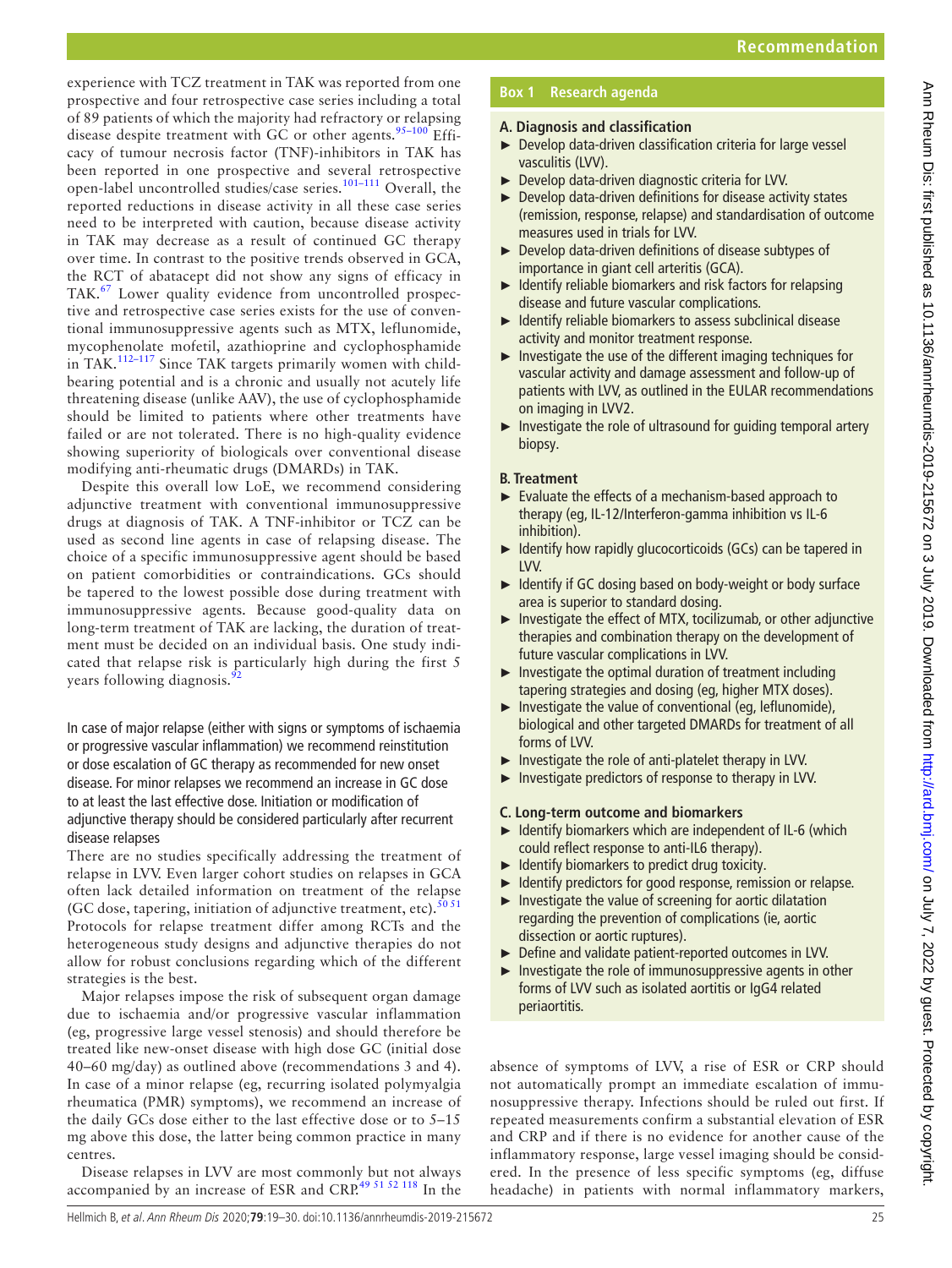experience with TCZ treatment in TAK was reported from one prospective and four retrospective case series including a total of 89 patients of which the majority had refractory or relapsing disease despite treatment with GC or other agents.<sup>95-100</sup> Efficacy of tumour necrosis factor (TNF)-inhibitors in TAK has been reported in one prospective and several retrospective open-label uncontrolled studies/case series.[101–111](#page-10-10) Overall, the reported reductions in disease activity in all these case series need to be interpreted with caution, because disease activity in TAK may decrease as a result of continued GC therapy over time. In contrast to the positive trends observed in GCA, the RCT of abatacept did not show any signs of efficacy in TAK.[67](#page-9-12) Lower quality evidence from uncontrolled prospective and retrospective case series exists for the use of conventional immunosuppressive agents such as MTX, leflunomide, mycophenolate mofetil, azathioprine and cyclophosphamide in TAK.[112–117](#page-10-11) Since TAK targets primarily women with childbearing potential and is a chronic and usually not acutely life threatening disease (unlike AAV), the use of cyclophosphamide should be limited to patients where other treatments have failed or are not tolerated. There is no high-quality evidence showing superiority of biologicals over conventional disease modifying anti-rheumatic drugs (DMARDs) in TAK.

Despite this overall low LoE, we recommend considering adjunctive treatment with conventional immunosuppressive drugs at diagnosis of TAK. A TNF-inhibitor or TCZ can be used as second line agents in case of relapsing disease. The choice of a specific immunosuppressive agent should be based on patient comorbidities or contraindications. GCs should be tapered to the lowest possible dose during treatment with immunosuppressive agents. Because good-quality data on long-term treatment of TAK are lacking, the duration of treatment must be decided on an individual basis. One study indicated that relapse risk is particularly high during the first 5 years following diagnosis. $\frac{92}{2}$  $\frac{92}{2}$  $\frac{92}{2}$ 

In case of major relapse (either with signs or symptoms of ischaemia or progressive vascular inflammation) we recommend reinstitution or dose escalation of GC therapy as recommended for new onset disease. For minor relapses we recommend an increase in GC dose to at least the last effective dose. Initiation or modification of adjunctive therapy should be considered particularly after recurrent disease relapses

There are no studies specifically addressing the treatment of relapse in LVV. Even larger cohort studies on relapses in GCA often lack detailed information on treatment of the relapse (GC dose, tapering, initiation of adjunctive treatment, etc). $50 s1$ Protocols for relapse treatment differ among RCTs and the heterogeneous study designs and adjunctive therapies do not allow for robust conclusions regarding which of the different strategies is the best.

Major relapses impose the risk of subsequent organ damage due to ischaemia and/or progressive vascular inflammation (eg, progressive large vessel stenosis) and should therefore be treated like new-onset disease with high dose GC (initial dose 40–60 mg/day) as outlined above (recommendations 3 and 4). In case of a minor relapse (eg, recurring isolated polymyalgia rheumatica (PMR) symptoms), we recommend an increase of the daily GCs dose either to the last effective dose or to 5–15 mg above this dose, the latter being common practice in many centres.

Disease relapses in LVV are most commonly but not always accompanied by an increase of ESR and CRP.[49 51 52 118](#page-9-13) In the

# **Box 1 Research agenda**

# **A. Diagnosis and classification**

- ► Develop data-driven classification criteria for large vessel vasculitis (LVV).
- ► Develop data-driven diagnostic criteria for LVV.
- ► Develop data-driven definitions for disease activity states (remission, response, relapse) and standardisation of outcome measures used in trials for LVV.
- ► Develop data-driven definitions of disease subtypes of importance in giant cell arteritis (GCA).
- ► Identify reliable biomarkers and risk factors for relapsing disease and future vascular complications.
- ► Identify reliable biomarkers to assess subclinical disease activity and monitor treatment response.
- $\blacktriangleright$  Investigate the use of the different imaging techniques for vascular activity and damage assessment and follow-up of patients with LVV, as outlined in the EULAR recommendations on imaging in LVV2.
- $\blacktriangleright$  Investigate the role of ultrasound for quiding temporal artery biopsy.

# **B. Treatment**

- ► Evaluate the effects of a mechanism-based approach to therapy (eg, IL-12/Interferon-gamma inhibition vs IL-6 inhibition).
- ► Identify how rapidly glucocorticoids (GCs) can be tapered in LVV.
- ► Identify if GC dosing based on body-weight or body surface area is superior to standard dosing.
- ► Investigate the effect of MTX, tocilizumab, or other adjunctive therapies and combination therapy on the development of future vascular complications in LVV.
- $\blacktriangleright$  Investigate the optimal duration of treatment including tapering strategies and dosing (eg, higher MTX doses).
- $\blacktriangleright$  Investigate the value of conventional (eg, leflunomide), biological and other targeted DMARDs for treatment of all forms of LVV.
- ► Investigate the role of anti-platelet therapy in LVV.
- ► Investigate predictors of response to therapy in LVV.

# **C. Long-term outcome and biomarkers**

- ► Identify biomarkers which are independent of IL-6 (which could reflect response to anti-IL6 therapy).
- $\blacktriangleright$  Identify biomarkers to predict drug toxicity.
- Identify predictors for good response, remission or relapse.
- ► Investigate the value of screening for aortic dilatation regarding the prevention of complications (ie, aortic dissection or aortic ruptures).
- ► Define and validate patient-reported outcomes in LVV.
- $\blacktriangleright$  Investigate the role of immunosuppressive agents in other forms of LVV such as isolated aortitis or IgG4 related periaortitis.

absence of symptoms of LVV, a rise of ESR or CRP should not automatically prompt an immediate escalation of immunosuppressive therapy. Infections should be ruled out first. If repeated measurements confirm a substantial elevation of ESR and CRP and if there is no evidence for another cause of the inflammatory response, large vessel imaging should be considered. In the presence of less specific symptoms (eg, diffuse headache) in patients with normal inflammatory markers,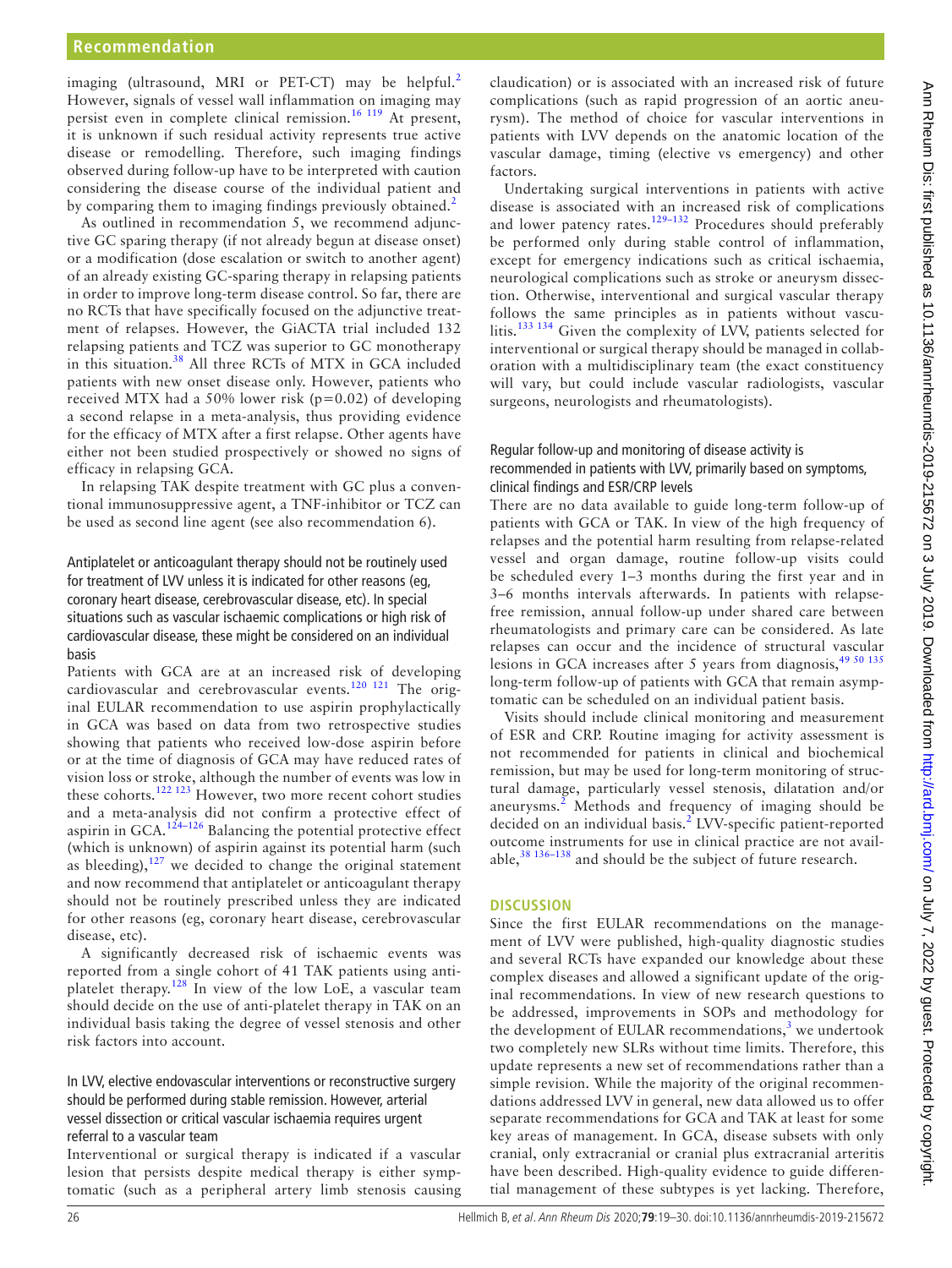imaging (ultrasound, MRI or PET-CT) may be helpful.<sup>[2](#page-8-1)</sup> However, signals of vessel wall inflammation on imaging may persist even in complete clinical remission.<sup>16 119</sup> At present, it is unknown if such residual activity represents true active disease or remodelling. Therefore, such imaging findings observed during follow-up have to be interpreted with caution considering the disease course of the individual patient and by comparing them to imaging findings previously obtained.<sup>[2](#page-8-1)</sup>

As outlined in recommendation 5, we recommend adjunctive GC sparing therapy (if not already begun at disease onset) or a modification (dose escalation or switch to another agent) of an already existing GC-sparing therapy in relapsing patients in order to improve long-term disease control. So far, there are no RCTs that have specifically focused on the adjunctive treatment of relapses. However, the GiACTA trial included 132 relapsing patients and TCZ was superior to GC monotherapy in this situation.<sup>[38](#page-9-3)</sup> All three RCTs of MTX in GCA included patients with new onset disease only. However, patients who received MTX had a 50% lower risk ( $p=0.02$ ) of developing a second relapse in a meta-analysis, thus providing evidence for the efficacy of MTX after a first relapse. Other agents have either not been studied prospectively or showed no signs of efficacy in relapsing GCA.

In relapsing TAK despite treatment with GC plus a conventional immunosuppressive agent, a TNF-inhibitor or TCZ can be used as second line agent (see also recommendation 6).

Antiplatelet or anticoagulant therapy should not be routinely used for treatment of LVV unless it is indicated for other reasons (eg, coronary heart disease, cerebrovascular disease, etc). In special situations such as vascular ischaemic complications or high risk of cardiovascular disease, these might be considered on an individual basis

Patients with GCA are at an increased risk of developing cardiovascular and cerebrovascular events.<sup>[120 121](#page-10-13)</sup> The original EULAR recommendation to use aspirin prophylactically in GCA was based on data from two retrospective studies showing that patients who received low-dose aspirin before or at the time of diagnosis of GCA may have reduced rates of vision loss or stroke, although the number of events was low in these cohorts.[122 123](#page-10-14) However, two more recent cohort studies and a meta-analysis did not confirm a protective effect of aspirin in GCA. $124-126$  Balancing the potential protective effect (which is unknown) of aspirin against its potential harm (such as bleeding), $127$  we decided to change the original statement and now recommend that antiplatelet or anticoagulant therapy should not be routinely prescribed unless they are indicated for other reasons (eg, coronary heart disease, cerebrovascular disease, etc).

A significantly decreased risk of ischaemic events was reported from a single cohort of 41 TAK patients using anti-platelet therapy.<sup>[128](#page-11-0)</sup> In view of the low LoE, a vascular team should decide on the use of anti-platelet therapy in TAK on an individual basis taking the degree of vessel stenosis and other risk factors into account.

In LVV, elective endovascular interventions or reconstructive surgery should be performed during stable remission. However, arterial vessel dissection or critical vascular ischaemia requires urgent referral to a vascular team

Interventional or surgical therapy is indicated if a vascular lesion that persists despite medical therapy is either symptomatic (such as a peripheral artery limb stenosis causing claudication) or is associated with an increased risk of future complications (such as rapid progression of an aortic aneurysm). The method of choice for vascular interventions in patients with LVV depends on the anatomic location of the vascular damage, timing (elective vs emergency) and other factors.

Undertaking surgical interventions in patients with active disease is associated with an increased risk of complications and lower patency rates.<sup>129-132</sup> Procedures should preferably be performed only during stable control of inflammation, except for emergency indications such as critical ischaemia, neurological complications such as stroke or aneurysm dissection. Otherwise, interventional and surgical vascular therapy follows the same principles as in patients without vasculitis.[133 134](#page-11-2) Given the complexity of LVV, patients selected for interventional or surgical therapy should be managed in collaboration with a multidisciplinary team (the exact constituency will vary, but could include vascular radiologists, vascular surgeons, neurologists and rheumatologists).

# Regular follow-up and monitoring of disease activity is recommended in patients with LVV, primarily based on symptoms, clinical findings and ESR/CRP levels

There are no data available to guide long-term follow-up of patients with GCA or TAK. In view of the high frequency of relapses and the potential harm resulting from relapse-related vessel and organ damage, routine follow-up visits could be scheduled every 1–3 months during the first year and in 3–6 months intervals afterwards. In patients with relapsefree remission, annual follow-up under shared care between rheumatologists and primary care can be considered. As late relapses can occur and the incidence of structural vascular lesions in GCA increases after 5 years from diagnosis, $4950135$ long-term follow-up of patients with GCA that remain asymptomatic can be scheduled on an individual patient basis.

Visits should include clinical monitoring and measurement of ESR and CRP. Routine imaging for activity assessment is not recommended for patients in clinical and biochemical remission, but may be used for long-term monitoring of structural damage, particularly vessel stenosis, dilatation and/or aneurysms.<sup>[2](#page-8-1)</sup> Methods and frequency of imaging should be decided on an individual basis.<sup>[2](#page-8-1)</sup> LVV-specific patient-reported outcome instruments for use in clinical practice are not available,<sup>38 136-138</sup> and should be the subject of future research.

## **Discussion**

Since the first EULAR recommendations on the management of LVV were published, high-quality diagnostic studies and several RCTs have expanded our knowledge about these complex diseases and allowed a significant update of the original recommendations. In view of new research questions to be addressed, improvements in SOPs and methodology for the development of EULAR recommendations, $3$  we undertook two completely new SLRs without time limits. Therefore, this update represents a new set of recommendations rather than a simple revision. While the majority of the original recommendations addressed LVV in general, new data allowed us to offer separate recommendations for GCA and TAK at least for some key areas of management. In GCA, disease subsets with only cranial, only extracranial or cranial plus extracranial arteritis have been described. High-quality evidence to guide differential management of these subtypes is yet lacking. Therefore,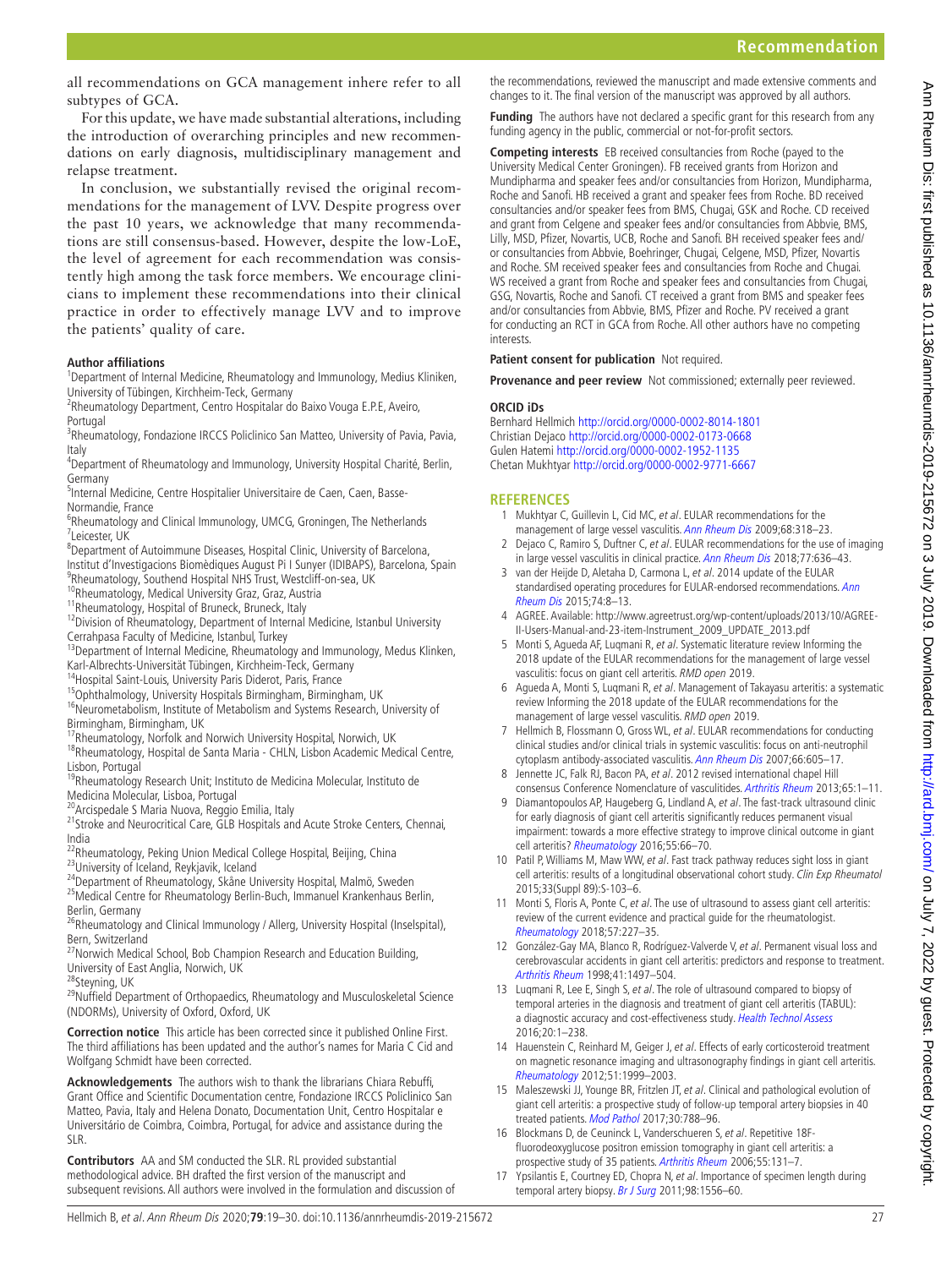all recommendations on GCA management inhere refer to all subtypes of GCA.

For this update, we have made substantial alterations, including the introduction of overarching principles and new recommendations on early diagnosis, multidisciplinary management and relapse treatment.

In conclusion, we substantially revised the original recommendations for the management of LVV. Despite progress over the past 10 years, we acknowledge that many recommendations are still consensus-based. However, despite the low-LoE, the level of agreement for each recommendation was consistently high among the task force members. We encourage clinicians to implement these recommendations into their clinical practice in order to effectively manage LVV and to improve the patients' quality of care.

#### **Author affiliations**

<sup>1</sup>Department of Internal Medicine, Rheumatology and Immunology, Medius Kliniken, University of Tübingen, Kirchheim-Teck, Germany <sup>2</sup>

<sup>2</sup>Rheumatology Department, Centro Hospitalar do Baixo Vouga E.P.E, Aveiro,

Portugal

<sup>3</sup>Rheumatology, Fondazione IRCCS Policlinico San Matteo, University of Pavia, Pavia, Italy

<sup>4</sup>Department of Rheumatology and Immunology, University Hospital Charité, Berlin, Germany

<sup>5</sup>Internal Medicine, Centre Hospitalier Universitaire de Caen, Caen, Basse-Normandie, France

<sup>6</sup>Rheumatology and Clinical Immunology, UMCG, Groningen, The Netherlands <sup>7</sup>Leicester, UK

<sup>8</sup>Department of Autoimmune Diseases, Hospital Clinic, University of Barcelona, Institut d'Investigacions Biomèdiques August Pi I Sunyer (IDIBAPS), Barcelona, Spain

<sup>9</sup>Rheumatology, Southend Hospital NHS Trust, Westcliff-on-sea, UK<br><sup>10</sup>Rheumatology, Medical University Graz, Graz, Austria

<sup>10</sup>Rheumatology, Medical University Graz, Graz, Austria<br><sup>11</sup>Rheumatology, Hospital of Bruneck, Bruneck, Italy

<sup>12</sup>Division of Rheumatology, Department of Internal Medicine, Istanbul University Cerrahpasa Faculty of Medicine, Istanbul, Turkey

<sup>13</sup>Department of Internal Medicine, Rheumatology and Immunology, Medus Klinken,

Karl-Albrechts-Universität Tübingen, Kirchheim-Teck, Germany<br><sup>14</sup>Hospital Saint-Louis, University Paris Diderot, Paris, France 15Ophthalmology, University Hospitals Birmingham, Birmingham, UK

<sup>16</sup>Neurometabolism, Institute of Metabolism and Systems Research, University of Birmingham, Birmingham, UK

<sup>1</sup>/Rheumatology, Norfolk and Norwich University Hospital, Norwich, UK

18Rheumatology, Hospital de Santa Maria - CHLN, Lisbon Academic Medical Centre, Lisbon, Portugal

<sup>19</sup>Rheumatology Research Unit; Instituto de Medicina Molecular, Instituto de Medicina Molecular, Lisboa, Portugal

<sup>20</sup> Arcispedale S Maria Nuova, Reggio Emilia, Italy

<sup>21</sup>Stroke and Neurocritical Care, GLB Hospitals and Acute Stroke Centers, Chennai, India

22Rheumatology, Peking Union Medical College Hospital, Beijing, China <sup>23</sup>University of Iceland, Reykjavik, Iceland

<sup>24</sup>Department of Rheumatology, Skåne University Hospital, Malmö, Sweden

<sup>25</sup>Medical Centre for Rheumatology Berlin-Buch, Immanuel Krankenhaus Berlin, Berlin, Germany

<sup>26</sup>Rheumatology and Clinical Immunology / Allerg, University Hospital (Inselspital), Bern, Switzerland

<sup>27</sup>Norwich Medical School, Bob Champion Research and Education Building, University of East Anglia, Norwich, UK

<sup>28</sup>Steyning, UK

<sup>29</sup>Nuffield Department of Orthopaedics, Rheumatology and Musculoskeletal Science (NDORMs), University of Oxford, Oxford, UK

**Correction notice** This article has been corrected since it published Online First. The third affiliations has been updated and the author's names for Maria C Cid and Wolfgang Schmidt have been corrected.

**Acknowledgements** The authors wish to thank the librarians Chiara Rebuffi, Grant Office and Scientific Documentation centre, Fondazione IRCCS Policlinico San Matteo, Pavia, Italy and Helena Donato, Documentation Unit, Centro Hospitalar e Universitário de Coimbra, Coimbra, Portugal, for advice and assistance during the SLR.

**Contributors** AA and SM conducted the SLR. RL provided substantial methodological advice. BH drafted the first version of the manuscript and subsequent revisions. All authors were involved in the formulation and discussion of the recommendations, reviewed the manuscript and made extensive comments and changes to it. The final version of the manuscript was approved by all authors.

**Funding** The authors have not declared a specific grant for this research from any funding agency in the public, commercial or not-for-profit sectors.

**Competing interests** EB received consultancies from Roche (payed to the University Medical Center Groningen). FB received grants from Horizon and Mundipharma and speaker fees and/or consultancies from Horizon, Mundipharma, Roche and Sanofi. HB received a grant and speaker fees from Roche. BD received consultancies and/or speaker fees from BMS, Chugai, GSK and Roche. CD received and grant from Celgene and speaker fees and/or consultancies from Abbvie, BMS, Lilly, MSD, Pfizer, Novartis, UCB, Roche and Sanofi. BH received speaker fees and/ or consultancies from Abbvie, Boehringer, Chugai, Celgene, MSD, Pfizer, Novartis and Roche. SM received speaker fees and consultancies from Roche and Chugai. WS received a grant from Roche and speaker fees and consultancies from Chugai, GSG, Novartis, Roche and Sanofi. CT received a grant from BMS and speaker fees and/or consultancies from Abbvie, BMS, Pfizer and Roche. PV received a grant for conducting an RCT in GCA from Roche. All other authors have no competing interests.

#### **Patient consent for publication** Not required.

**Provenance and peer review** Not commissioned: externally peer reviewed.

#### **ORCID iDs**

Bernhard Hellmich <http://orcid.org/0000-0002-8014-1801> Christian Dejaco<http://orcid.org/0000-0002-0173-0668> Gulen Hatemi<http://orcid.org/0000-0002-1952-1135> Chetan Mukhtyar <http://orcid.org/0000-0002-9771-6667>

## **References**

- <span id="page-8-0"></span>1 Mukhtyar C, Guillevin L, Cid MC, et al. EULAR recommendations for the management of large vessel vasculitis. [Ann Rheum Dis](http://dx.doi.org/10.1136/ard.2008.088351) 2009;68:318-23.
- <span id="page-8-1"></span>2 Dejaco C, Ramiro S, Duftner C, et al. EULAR recommendations for the use of imaging in large vessel vasculitis in clinical practice. [Ann Rheum Dis](http://dx.doi.org/10.1136/annrheumdis-2017-212649) 2018;77:636–43.
- <span id="page-8-2"></span>3 van der Heijde D, Aletaha D, Carmona L, et al. 2014 update of the EULAR standardised operating procedures for EULAR-endorsed recommendations. Ann [Rheum Dis](http://dx.doi.org/10.1136/annrheumdis-2014-206350) 2015;74:8–13.
- 4 AGREE. Available: [http://www.agreetrust.org/wp-content/uploads/2013/10/AGREE-](http://www.agreetrust.org/wp-content/uploads/2013/10/AGREE-II-Users-Manual-and-23-item-Instrument_2009_UPDATE_2013.pdf)[II-Users-Manual-and-23-item-Instrument\\_2009\\_UPDATE\\_2013.pdf](http://www.agreetrust.org/wp-content/uploads/2013/10/AGREE-II-Users-Manual-and-23-item-Instrument_2009_UPDATE_2013.pdf)
- <span id="page-8-3"></span>5 Monti S, Agueda AF, Luqmani R, et al. Systematic literature review Informing the 2018 update of the EULAR recommendations for the management of large vessel vasculitis: focus on giant cell arteritis. RMD open 2019.
- 6 Agueda A, Monti S, Luqmani R, et al. Management of Takayasu arteritis: a systematic review Informing the 2018 update of the EULAR recommendations for the management of large vessel vasculitis. RMD open 2019.
- <span id="page-8-4"></span>7 Hellmich B, Flossmann O, Gross WL, et al. EULAR recommendations for conducting clinical studies and/or clinical trials in systemic vasculitis: focus on anti-neutrophil cytoplasm antibody-associated vasculitis. [Ann Rheum Dis](http://dx.doi.org/10.1136/ard.2006.062711) 2007;66:605-17.
- <span id="page-8-5"></span>Jennette JC, Falk RJ, Bacon PA, et al. 2012 revised international chapel Hill consensus Conference Nomenclature of vasculitides. [Arthritis Rheum](http://dx.doi.org/10.1002/art.37715) 2013;65:1-11.
- <span id="page-8-6"></span>Diamantopoulos AP, Haugeberg G, Lindland A, et al. The fast-track ultrasound clinic for early diagnosis of giant cell arteritis significantly reduces permanent visual impairment: towards a more effective strategy to improve clinical outcome in giant cell arteritis? [Rheumatology](http://dx.doi.org/10.1093/rheumatology/kev289) 2016;55:66-70.
- 10 Patil P, Williams M, Maw WW, et al. Fast track pathway reduces sight loss in giant cell arteritis: results of a longitudinal observational cohort study. Clin Exp Rheumatol 2015;33(Suppl 89):S-103–6.
- <span id="page-8-7"></span>11 Monti S, Floris A, Ponte C, et al. The use of ultrasound to assess giant cell arteritis: review of the current evidence and practical guide for the rheumatologist. [Rheumatology](http://dx.doi.org/10.1093/rheumatology/kex173) 2018;57:227–35.
- <span id="page-8-8"></span>12 González-Gay MA, Blanco R, Rodríguez-Valverde V, et al. Permanent visual loss and cerebrovascular accidents in giant cell arteritis: predictors and response to treatment. [Arthritis Rheum](http://dx.doi.org/10.1002/1529-0131(199808)41:8<1497::AID-ART22>3.0.CO;2-Z) 1998;41:1497–504.
- <span id="page-8-9"></span>13 Luqmani R, Lee E, Singh S, et al. The role of ultrasound compared to biopsy of temporal arteries in the diagnosis and treatment of giant cell arteritis (TABUL): a diagnostic accuracy and cost-effectiveness study. [Health Technol Assess](http://dx.doi.org/10.3310/hta20900) 2016;20:1–238.
- <span id="page-8-10"></span>14 Hauenstein C, Reinhard M, Geiger J, et al. Effects of early corticosteroid treatment on magnetic resonance imaging and ultrasonography findings in giant cell arteritis. [Rheumatology](http://dx.doi.org/10.1093/rheumatology/kes153) 2012;51:1999–2003.
- 15 Maleszewski JJ, Younge BR, Fritzlen JT, et al. Clinical and pathological evolution of giant cell arteritis: a prospective study of follow-up temporal artery biopsies in 40 treated patients. [Mod Pathol](http://dx.doi.org/10.1038/modpathol.2017.10) 2017;30:788-96.
- <span id="page-8-12"></span>16 Blockmans D, de Ceuninck L, Vanderschueren S, et al. Repetitive 18Ffluorodeoxyglucose positron emission tomography in giant cell arteritis: a prospective study of 35 patients. [Arthritis Rheum](http://dx.doi.org/10.1002/art.21699) 2006;55:131-7.
- <span id="page-8-11"></span>17 Ypsilantis E, Courtney ED, Chopra N, et al. Importance of specimen length during temporal artery biopsy. [Br J Surg](http://dx.doi.org/10.1002/bjs.7595) 2011;98:1556-60.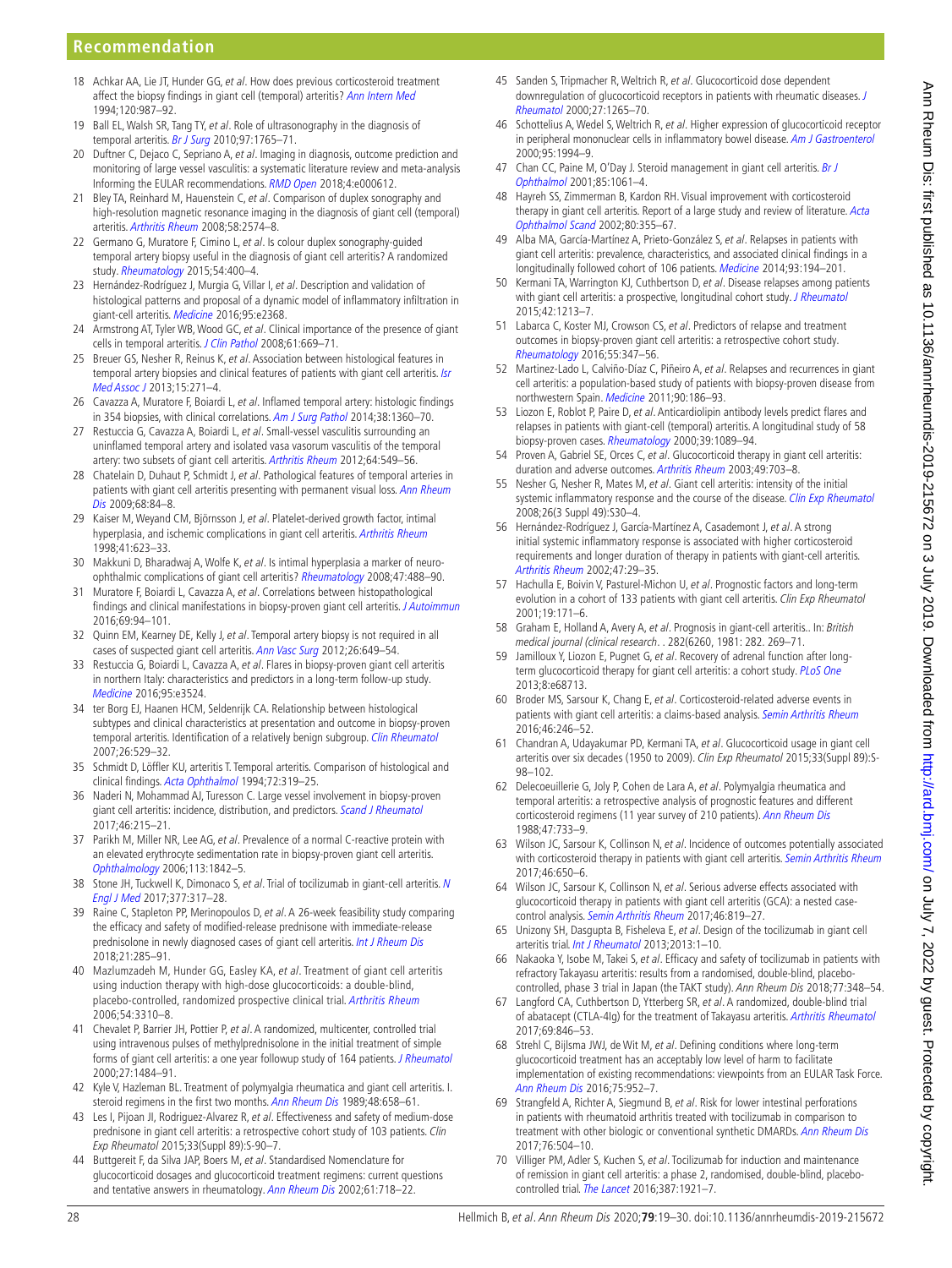# **Recommendation**

- 18 Achkar AA, Lie JT, Hunder GG, et al. How does previous corticosteroid treatment affect the biopsy findings in giant cell (temporal) arteritis? [Ann Intern Med](http://dx.doi.org/10.7326/0003-4819-120-12-199406150-00003) 1994;120:987–92.
- 19 Ball EL, Walsh SR, Tang TY, et al. Role of ultrasonography in the diagnosis of temporal arteritis. [Br J Surg](http://dx.doi.org/10.1002/bjs.7252) 2010;97:1765-71.
- 20 Duftner C, Dejaco C, Sepriano A, et al. Imaging in diagnosis, outcome prediction and monitoring of large vessel vasculitis: a systematic literature review and meta-analysis Informing the EULAR recommendations. [RMD Open](http://dx.doi.org/10.1136/rmdopen-2017-000612) 2018;4:e000612.
- 21 Bley TA, Reinhard M, Hauenstein C, et al. Comparison of duplex sonography and high-resolution magnetic resonance imaging in the diagnosis of giant cell (temporal) arteritis. [Arthritis Rheum](http://dx.doi.org/10.1002/art.23699) 2008;58:2574–8.
- <span id="page-9-0"></span>22 Germano G, Muratore F, Cimino L, et al. Is colour duplex sonography-guided temporal artery biopsy useful in the diagnosis of giant cell arteritis? A randomized study. [Rheumatology](http://dx.doi.org/10.1093/rheumatology/keu241) 2015;54:400–4.
- <span id="page-9-1"></span>23 Hernández-Rodríguez J, Murgia G, Villar I, et al. Description and validation of histological patterns and proposal of a dynamic model of inflammatory infiltration in giant-cell arteritis. [Medicine](http://dx.doi.org/10.1097/MD.0000000000002368) 2016;95:e2368.
- 24 Armstrong AT, Tyler WB, Wood GC, et al. Clinical importance of the presence of giant cells in temporal arteritis. [J Clin Pathol](http://dx.doi.org/10.1136/jcp.2007.049049) 2008;61:669-71.
- 25 Breuer GS, Nesher R, Reinus K, et al. Association between histological features in temporal artery biopsies and clinical features of patients with giant cell arteritis. Isr [Med Assoc J](http://www.ncbi.nlm.nih.gov/pubmed/23882888) 2013;15:271–4.
- 26 Cavazza A, Muratore F, Boiardi L, et al. Inflamed temporal artery: histologic findings in 354 biopsies, with clinical correlations. [Am J Surg Pathol](http://dx.doi.org/10.1097/PAS.0000000000000244) 2014;38:1360-70.
- 27 Restuccia G, Cavazza A, Boiardi L, et al. Small-vessel vasculitis surrounding an uninflamed temporal artery and isolated vasa vasorum vasculitis of the temporal artery: two subsets of giant cell arteritis. [Arthritis Rheum](http://dx.doi.org/10.1002/art.33362) 2012;64:549–56.
- 28 Chatelain D, Duhaut P, Schmidt J, et al. Pathological features of temporal arteries in patients with giant cell arteritis presenting with permanent visual loss. Ann Rheum [Dis](http://dx.doi.org/10.1136/ard.2007.084947) 2009;68:84-8.
- 29 Kaiser M, Weyand CM, Björnsson J, et al. Platelet-derived growth factor, intimal hyperplasia, and ischemic complications in giant cell arteritis. [Arthritis Rheum](http://dx.doi.org/10.1002/1529-0131(199804)41:4<623::AID-ART9>3.0.CO;2-6) 1998;41:623–33.
- 30 Makkuni D, Bharadwaj A, Wolfe K, et al. Is intimal hyperplasia a marker of neuro-ophthalmic complications of giant cell arteritis? [Rheumatology](http://dx.doi.org/10.1093/rheumatology/ken012) 2008;47:488-90.
- 31 Muratore F, Boiardi L, Cavazza A, et al. Correlations between histopathological findings and clinical manifestations in biopsy-proven giant cell arteritis. [J Autoimmun](http://dx.doi.org/10.1016/j.jaut.2016.03.005) 2016;69:94–101.
- 32 Quinn EM, Kearney DE, Kelly J, et al. Temporal artery biopsy is not required in all cases of suspected giant cell arteritis. [Ann Vasc Surg](http://dx.doi.org/10.1016/j.avsg.2011.10.009) 2012;26:649-54.
- <span id="page-9-8"></span>33 Restuccia G, Boiardi L, Cavazza A, et al. Flares in biopsy-proven giant cell arteritis in northern Italy: characteristics and predictors in a long-term follow-up study. [Medicine](http://dx.doi.org/10.1097/MD.0000000000003524) 2016;95:e3524.
- 34 ter Borg EJ, Haanen HCM, Seldenrijk CA. Relationship between histological subtypes and clinical characteristics at presentation and outcome in biopsy-proven temporal arteritis. Identification of a relatively benign subgroup. [Clin Rheumatol](http://dx.doi.org/10.1007/s10067-006-0332-0) 2007;26:529–32.
- 35 Schmidt D, Löffler KU, arteritis T. Temporal arteritis. Comparison of histological and clinical findings. [Acta Ophthalmol](http://www.ncbi.nlm.nih.gov/pubmed/7976262) 1994;72:319–25.
- <span id="page-9-2"></span>36 Naderi N, Mohammad AJ, Turesson C. Large vessel involvement in biopsy-proven giant cell arteritis: incidence, distribution, and predictors. [Scand J Rheumatol](http://dx.doi.org/10.1080/03009742.2016.1190984) 2017;46:215–21.
- 37 Parikh M, Miller NR, Lee AG, et al. Prevalence of a normal C-reactive protein with an elevated erythrocyte sedimentation rate in biopsy-proven giant cell arteritis. [Ophthalmology](http://dx.doi.org/10.1016/j.ophtha.2006.05.020) 2006;113:1842–5.
- <span id="page-9-3"></span>38 Stone JH, Tuckwell K, Dimonaco S, et al. Trial of tocilizumab in giant-cell arteritis. N [Engl J Med](http://dx.doi.org/10.1056/NEJMoa1613849) 2017;377:317–28.
- 39 Raine C, Stapleton PP, Merinopoulos D, et al. A 26-week feasibility study comparing the efficacy and safety of modified-release prednisone with immediate-release prednisolone in newly diagnosed cases of giant cell arteritis. [Int J Rheum Dis](http://dx.doi.org/10.1111/1756-185X.13149) 2018;21:285–91.
- <span id="page-9-7"></span>40 Mazlumzadeh M, Hunder GG, Easley KA, et al. Treatment of giant cell arteritis using induction therapy with high-dose glucocorticoids: a double-blind, placebo-controlled, randomized prospective clinical trial. [Arthritis Rheum](http://dx.doi.org/10.1002/art.22163) 2006;54:3310–8.
- 41 Chevalet P, Barrier JH, Pottier P, et al. A randomized, multicenter, controlled trial using intravenous pulses of methylprednisolone in the initial treatment of simple forms of giant cell arteritis: a one year followup study of 164 patients. [J Rheumatol](http://www.ncbi.nlm.nih.gov/pubmed/10852275) 2000;27:1484–91.
- <span id="page-9-10"></span>42 Kyle V, Hazleman BL. Treatment of polymyalgia rheumatica and giant cell arteritis. I. steroid regimens in the first two months. [Ann Rheum Dis](http://dx.doi.org/10.1136/ard.48.8.658) 1989;48:658-61.
- <span id="page-9-9"></span>43 Les I, Pijoan JI, Rodriguez-Alvarez R, et al. Effectiveness and safety of medium-dose prednisone in giant cell arteritis: a retrospective cohort study of 103 patients. Clin Exp Rheumatol 2015;33(Suppl 89):S-90–7.
- <span id="page-9-4"></span>44 Buttgereit F, da Silva JAP, Boers M, et al. Standardised Nomenclature for glucocorticoid dosages and glucocorticoid treatment regimens: current questions and tentative answers in rheumatology. [Ann Rheum Dis](http://dx.doi.org/10.1136/ard.61.8.718) 2002;61:718–22.
- <span id="page-9-5"></span>45 Sanden S, Tripmacher R, Weltrich R, et al. Glucocorticoid dose dependent downregulation of glucocorticoid receptors in patients with rheumatic diseases. J [Rheumatol](http://www.ncbi.nlm.nih.gov/pubmed/10813299) 2000;27:1265–70.
- 46 Schottelius A, Wedel S, Weltrich R, et al. Higher expression of glucocorticoid receptor in peripheral mononuclear cells in inflammatory bowel disease. [Am J Gastroenterol](http://dx.doi.org/10.1111/j.1572-0241.2000.02188.x) 2000;95:1994–9.
- <span id="page-9-6"></span>47 Chan CC, Paine M, O'Day J. Steroid management in giant cell arteritis. Br J [Ophthalmol](http://dx.doi.org/10.1136/bjo.85.9.1061) 2001;85:1061–4.
- 48 Hayreh SS, Zimmerman B, Kardon RH. Visual improvement with corticosteroid therapy in giant cell arteritis. Report of a large study and review of literature. Acta [Ophthalmol Scand](http://dx.doi.org/10.1034/j.1600-0420.2002.800403.x) 2002;80:355–67.
- <span id="page-9-13"></span>49 Alba MA, García-Martínez A, Prieto-González S, et al. Relapses in patients with giant cell arteritis: prevalence, characteristics, and associated clinical findings in a longitudinally followed cohort of 106 patients. [Medicine](http://dx.doi.org/10.1097/MD.0000000000000033) 2014;93:194–201.
- <span id="page-9-16"></span>Kermani TA, Warrington KJ, Cuthbertson D, et al. Disease relapses among patients with giant cell arteritis: a prospective, longitudinal cohort study. [J Rheumatol](http://dx.doi.org/10.3899/jrheum.141347) 2015;42:1213–7.
- 51 Labarca C, Koster MJ, Crowson CS, et al. Predictors of relapse and treatment outcomes in biopsy-proven giant cell arteritis: a retrospective cohort study. [Rheumatology](http://dx.doi.org/10.1093/rheumatology/kev348) 2016;55:347–56.
- 52 Martinez-Lado L, Calviño-Díaz C, Piñeiro A, et al. Relapses and recurrences in giant cell arteritis: a population-based study of patients with biopsy-proven disease from northwestern Spain. [Medicine](http://dx.doi.org/10.1097/MD.0b013e31821c4fad) 2011;90:186-93.
- 53 Liozon E, Roblot P, Paire D, et al. Anticardiolipin antibody levels predict flares and relapses in patients with giant-cell (temporal) arteritis. A longitudinal study of 58 biopsy-proven cases. [Rheumatology](http://dx.doi.org/10.1093/rheumatology/39.10.1089) 2000;39:1089-94.
- 54 Proven A, Gabriel SE, Orces C, et al. Glucocorticoid therapy in giant cell arteritis: duration and adverse outcomes. [Arthritis Rheum](http://dx.doi.org/10.1002/art.11388) 2003;49:703-8.
- 55 Nesher G, Nesher R, Mates M, et al. Giant cell arteritis: intensity of the initial systemic inflammatory response and the course of the disease. [Clin Exp Rheumatol](http://www.ncbi.nlm.nih.gov/pubmed/18799050) 2008;26(3 Suppl 49):S30–4.
- 56 Hernández-Rodríguez J, García-Martínez A, Casademont J, et al. A strong initial systemic inflammatory response is associated with higher corticosteroid requirements and longer duration of therapy in patients with giant-cell arteritis. [Arthritis Rheum](http://dx.doi.org/10.1002/art1.10161) 2002;47:29–35.
- 57 Hachulla E, Boivin V, Pasturel-Michon U, et al. Prognostic factors and long-term evolution in a cohort of 133 patients with giant cell arteritis. Clin Exp Rheumatol 2001;19:171–6.
- 58 Graham E, Holland A, Avery A, et al. Prognosis in giant-cell arteritis.. In: [British](http://dx.doi.org/10.1136/bmj.282.6260.269)  [medical journal \(clinical research](http://dx.doi.org/10.1136/bmj.282.6260.269). . 282(6260, 1981: 282. 269–71.
- 59 Jamilloux Y, Liozon E, Pugnet G, et al. Recovery of adrenal function after long-term glucocorticoid therapy for giant cell arteritis: a cohort study. [PLoS One](http://dx.doi.org/10.1371/journal.pone.0068713) 2013;8:e68713.
- 60 Broder MS, Sarsour K, Chang E, et al. Corticosteroid-related adverse events in patients with giant cell arteritis: a claims-based analysis. [Semin Arthritis Rheum](http://dx.doi.org/10.1016/j.semarthrit.2016.05.009) 2016;46:246–52.
- 61 Chandran A, Udayakumar PD, Kermani TA, et al. Glucocorticoid usage in giant cell arteritis over six decades (1950 to 2009). Clin Exp Rheumatol 2015;33(Suppl 89):S-98–102.
- 62 Delecoeuillerie G, Joly P, Cohen de Lara A, et al. Polymyalgia rheumatica and temporal arteritis: a retrospective analysis of prognostic features and different corticosteroid regimens (11 year survey of 210 patients). [Ann Rheum Dis](http://dx.doi.org/10.1136/ard.47.9.733) 1988;47:733–9.
- 63 Wilson JC, Sarsour K, Collinson N, et al. Incidence of outcomes potentially associated with corticosteroid therapy in patients with giant cell arteritis. [Semin Arthritis Rheum](http://dx.doi.org/10.1016/j.semarthrit.2016.10.001) 2017;46:650–6.
- 64 Wilson JC, Sarsour K, Collinson N, et al. Serious adverse effects associated with glucocorticoid therapy in patients with giant cell arteritis (GCA): a nested case-control analysis. [Semin Arthritis Rheum](http://dx.doi.org/10.1016/j.semarthrit.2016.11.006) 2017;46:819-27.
- 65 Unizony SH, Dasgupta B, Fisheleva E, et al. Design of the tocilizumab in giant cell arteritis trial. [Int J Rheumatol](http://dx.doi.org/10.1155/2013/912562) 2013;2013:1-10.
- <span id="page-9-11"></span>66 Nakaoka Y, Isobe M, Takei S, et al. Efficacy and safety of tocilizumab in patients with refractory Takayasu arteritis: results from a randomised, double-blind, placebocontrolled, phase 3 trial in Japan (the TAKT study). Ann Rheum Dis 2018;77:348–54.
- <span id="page-9-12"></span>67 Langford CA, Cuthbertson D, Ytterberg SR, et al. A randomized, double-blind trial of abatacept (CTLA-4Ig) for the treatment of Takayasu arteritis. [Arthritis Rheumatol](http://dx.doi.org/10.1002/art.40037) 2017;69:846–53.
- <span id="page-9-14"></span>68 Strehl C, Bijlsma JWJ, de Wit M, et al. Defining conditions where long-term glucocorticoid treatment has an acceptably low level of harm to facilitate implementation of existing recommendations: viewpoints from an EULAR Task Force. [Ann Rheum Dis](http://dx.doi.org/10.1136/annrheumdis-2015-208916) 2016;75:952–7.
- <span id="page-9-15"></span>69 Strangfeld A, Richter A, Siegmund B, et al. Risk for lower intestinal perforations in patients with rheumatoid arthritis treated with tocilizumab in comparison to treatment with other biologic or conventional synthetic DMARDs. [Ann Rheum Dis](http://dx.doi.org/10.1136/annrheumdis-2016-209773) 2017;76:504–10.
- 70 Villiger PM, Adler S, Kuchen S, et al. Tocilizumab for induction and maintenance of remission in giant cell arteritis: a phase 2, randomised, double-blind, placebo-controlled trial. [The Lancet](http://dx.doi.org/10.1016/S0140-6736(16)00560-2) 2016;387:1921-7.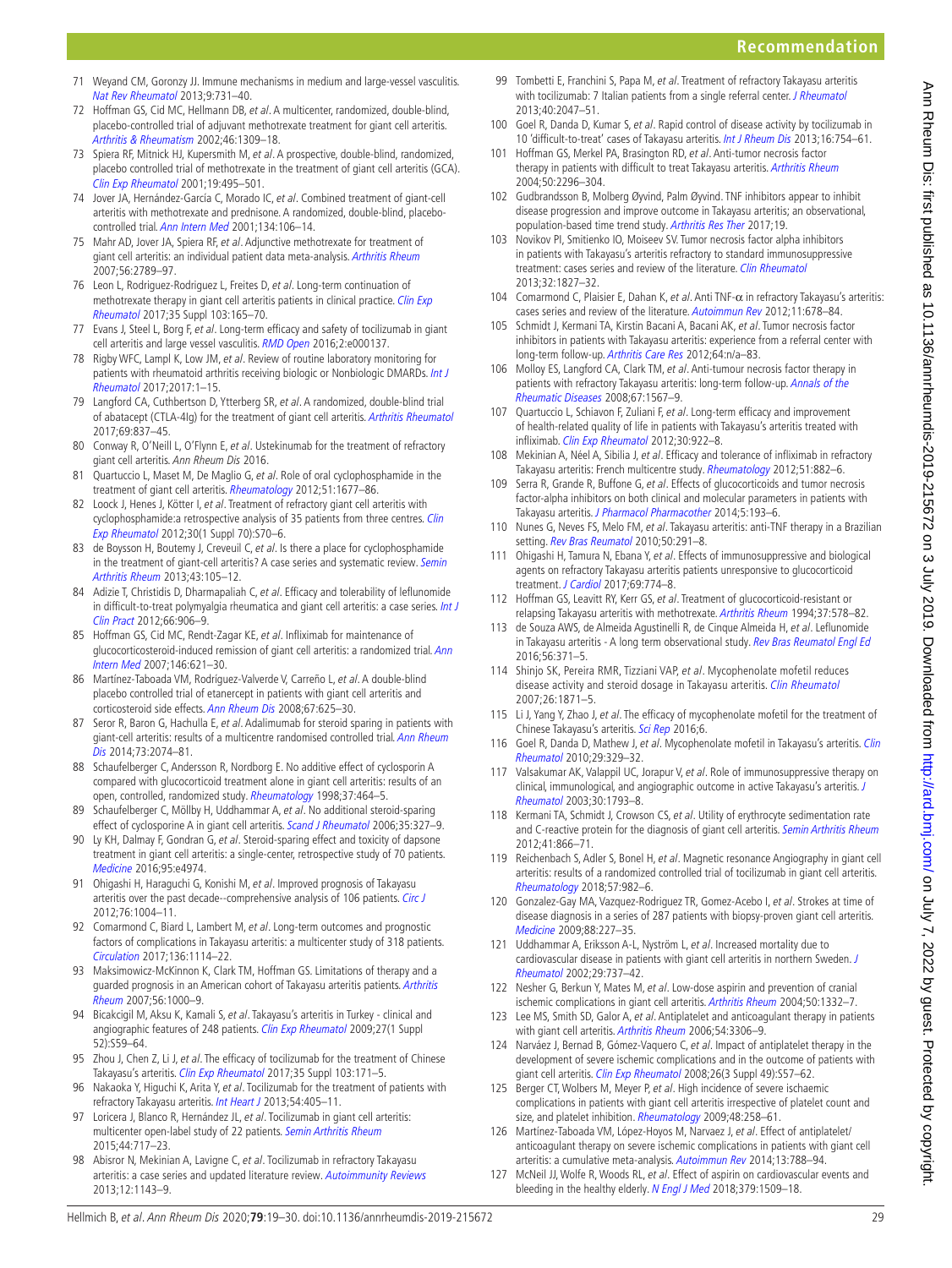- <span id="page-10-1"></span><span id="page-10-0"></span>72 Hoffman GS, Cid MC, Hellmann DB, et al. A multicenter, randomized, double-blind, placebo-controlled trial of adjuvant methotrexate treatment for giant cell arteritis. [Arthritis & Rheumatism](http://dx.doi.org/10.1002/art.10262) 2002;46:1309–18.
- 73 Spiera RF, Mitnick HJ, Kupersmith M, et al. A prospective, double-blind, randomized, placebo controlled trial of methotrexate in the treatment of giant cell arteritis (GCA). [Clin Exp Rheumatol](http://www.ncbi.nlm.nih.gov/pubmed/11579707) 2001;19:495–501.
- <span id="page-10-2"></span>74 Jover JA, Hernández-García C, Morado IC, et al. Combined treatment of giant-cell arteritis with methotrexate and prednisone. A randomized, double-blind, placebocontrolled trial. [Ann Intern Med](http://www.ncbi.nlm.nih.gov/pubmed/11177313) 2001;134:106–14.
- <span id="page-10-3"></span>75 Mahr AD, Jover JA, Spiera RF, et al. Adjunctive methotrexate for treatment of giant cell arteritis: an individual patient data meta-analysis. [Arthritis Rheum](http://dx.doi.org/10.1002/art.22754) 2007;56:2789–97.
- <span id="page-10-4"></span>76 Leon L, Rodriguez-Rodriguez L, Freites D, et al. Long-term continuation of methotrexate therapy in giant cell arteritis patients in clinical practice. Clin Exp [Rheumatol](http://www.ncbi.nlm.nih.gov/pubmed/28134073) 2017;35 Suppl 103:165–70.
- 77 Evans J, Steel L, Borg F, et al. Long-term efficacy and safety of tocilizumab in giant cell arteritis and large vessel vasculitis. [RMD Open](http://dx.doi.org/10.1136/rmdopen-2015-000137) 2016;2:e000137.
- <span id="page-10-5"></span>78 Rigby WFC, Lampl K, Low JM, et al. Review of routine laboratory monitoring for patients with rheumatoid arthritis receiving biologic or Nonbiologic DMARDs. Int J [Rheumatol](http://dx.doi.org/10.1155/2017/9614241) 2017;2017:1–15.
- <span id="page-10-6"></span>79 Langford CA, Cuthbertson D, Ytterberg SR, et al. A randomized, double-blind trial of abatacept (CTLA-4Ig) for the treatment of giant cell arteritis. [Arthritis Rheumatol](http://dx.doi.org/10.1002/art.40044) 2017;69:837–45.
- 80 Conway R, O'Neill L, O'Flynn E, et al. Ustekinumab for the treatment of refractory giant cell arteritis. Ann Rheum Dis 2016.
- 81 Quartuccio L, Maset M, De Maglio G, et al. Role of oral cyclophosphamide in the treatment of giant cell arteritis. [Rheumatology](http://dx.doi.org/10.1093/rheumatology/kes127) 2012;51:1677-86.
- 82 Loock J, Henes J, Kötter I, et al. Treatment of refractory giant cell arteritis with cyclophosphamide:a retrospective analysis of 35 patients from three centres. Clin [Exp Rheumatol](http://www.ncbi.nlm.nih.gov/pubmed/22640650) 2012;30(1 Suppl 70):S70–6.
- 83 de Boysson H, Boutemy J, Creveuil C, et al. Is there a place for cyclophosphamide in the treatment of giant-cell arteritis? A case series and systematic review. Semin [Arthritis Rheum](http://dx.doi.org/10.1016/j.semarthrit.2012.12.023) 2013;43:105–12.
- 84 Adizie T, Christidis D, Dharmapaliah C, et al. Efficacy and tolerability of leflunomide in difficult-to-treat polymyalgia rheumatica and giant cell arteritis: a case series. Int J [Clin Pract](http://dx.doi.org/10.1111/j.1742-1241.2012.02981.x) 2012;66:906–9.
- 85 Hoffman GS, Cid MC, Rendt-Zagar KE, et al. Infliximab for maintenance of glucocorticosteroid-induced remission of giant cell arteritis: a randomized trial. Ann [Intern Med](http://dx.doi.org/10.7326/0003-4819-146-9-200705010-00004) 2007;146:621–30.
- 86 Martínez-Taboada VM, Rodríguez-Valverde V, Carreño L, et al. A double-blind placebo controlled trial of etanercept in patients with giant cell arteritis and corticosteroid side effects. [Ann Rheum Dis](http://dx.doi.org/10.1136/ard.2007.082115) 2008;67:625–30.
- 87 Seror R, Baron G, Hachulla E, et al. Adalimumab for steroid sparing in patients with giant-cell arteritis: results of a multicentre randomised controlled trial. Ann Rheum [Dis](http://dx.doi.org/10.1136/annrheumdis-2013-203586) 2014;73:2074-81.
- 88 Schaufelberger C, Andersson R, Nordborg E. No additive effect of cyclosporin A compared with glucocorticoid treatment alone in giant cell arteritis: results of an open, controlled, randomized study. [Rheumatology](http://dx.doi.org/10.1093/rheumatology/37.4.464) 1998;37:464-5.
- 89 Schaufelberger C, Möllby H, Uddhammar A, et al. No additional steroid-sparing effect of cyclosporine A in giant cell arteritis. [Scand J Rheumatol](http://dx.doi.org/10.1080/03009740500474537) 2006;35:327-9.
- 90 Ly KH, Dalmay F, Gondran G, et al. Steroid-sparing effect and toxicity of dapsone treatment in giant cell arteritis: a single-center, retrospective study of 70 patients. [Medicine](http://dx.doi.org/10.1097/MD.0000000000004974) 2016;95:e4974.
- <span id="page-10-7"></span>91 Ohigashi H, Haraguchi G, Konishi M, et al. Improved prognosis of Takayasu arteritis over the past decade--comprehensive analysis of 106 patients. [Circ J](http://www.ncbi.nlm.nih.gov/pubmed/22301847) 2012;76:1004–11.
- <span id="page-10-12"></span>92 Comarmond C, Biard L, Lambert M, et al. Long-term outcomes and prognostic factors of complications in Takayasu arteritis: a multicenter study of 318 patients. [Circulation](http://dx.doi.org/10.1161/CIRCULATIONAHA.116.027094) 2017;136:1114–22.
- <span id="page-10-8"></span>93 Maksimowicz-McKinnon K, Clark TM, Hoffman GS. Limitations of therapy and a guarded prognosis in an American cohort of Takayasu arteritis patients. Arthritis [Rheum](http://dx.doi.org/10.1002/art.22404) 2007;56:1000–9.
- 94 Bicakcigil M, Aksu K, Kamali S, et al. Takayasu's arteritis in Turkey clinical and angiographic features of 248 patients. [Clin Exp Rheumatol](http://www.ncbi.nlm.nih.gov/pubmed/19646348) 2009;27(1 Suppl 52):S59–64.
- <span id="page-10-9"></span>95 Zhou J, Chen Z, Li J, et al. The efficacy of tocilizumab for the treatment of Chinese Takayasu's arteritis. [Clin Exp Rheumatol](http://www.ncbi.nlm.nih.gov/pubmed/28406764) 2017;35 Suppl 103:171-5.
- 96 Nakaoka Y, Higuchi K, Arita Y, et al. Tocilizumab for the treatment of patients with refractory Takayasu arteritis. [Int Heart J](http://dx.doi.org/10.1536/ihj.54.405) 2013;54:405-11.
- 97 Loricera J, Blanco R, Hernández JL, et al. Tocilizumab in giant cell arteritis: multicenter open-label study of 22 patients. [Semin Arthritis Rheum](http://dx.doi.org/10.1016/j.semarthrit.2014.12.005) 2015;44:717–23.
- 98 Abisror N, Mekinian A, Lavigne C, et al. Tocilizumab in refractory Takayasu arteritis: a case series and updated literature review. [Autoimmunity Reviews](http://dx.doi.org/10.1016/j.autrev.2013.06.019) 2013;12:1143–9.
- 99 Tombetti E, Franchini S, Papa M, et al. Treatment of refractory Takayasu arteritis with tocilizumab: 7 Italian patients from a single referral center. *[J Rheumatol](http://dx.doi.org/10.3899/jrheum.130536)* 2013;40:2047–51.
- 100 Goel R, Danda D, Kumar S, et al. Rapid control of disease activity by tocilizumab in 10 'difficult-to-treat' cases of Takayasu arteritis. [Int J Rheum Dis](http://dx.doi.org/10.1111/1756-185X.12220) 2013;16:754–61.
- <span id="page-10-10"></span>101 Hoffman GS, Merkel PA, Brasington RD, et al. Anti-tumor necrosis factor therapy in patients with difficult to treat Takayasu arteritis. [Arthritis Rheum](http://dx.doi.org/10.1002/art.20300) 2004;50:2296–304.
- 102 Gudbrandsson B, Molberg Øyvind, Palm Øyvind. TNF inhibitors appear to inhibit disease progression and improve outcome in Takayasu arteritis; an observational, population-based time trend study. [Arthritis Res Ther](http://dx.doi.org/10.1186/s13075-017-1316-y) 2017;19.
- 103 Novikov PI, Smitienko IO, Moiseev SV. Tumor necrosis factor alpha inhibitors in patients with Takayasu's arteritis refractory to standard immunosuppressive treatment: cases series and review of the literature. [Clin Rheumatol](http://dx.doi.org/10.1007/s10067-013-2380-6) 2013;32:1827–32.
- 104 Comarmond C, Plaisier E, Dahan K, et al. Anti TNF-α in refractory Takayasu's arteritis: cases series and review of the literature. [Autoimmun Rev](http://dx.doi.org/10.1016/j.autrev.2011.11.025) 2012;11:678-84.
- 105 Schmidt J, Kermani TA, Kirstin Bacani A, Bacani AK, et al. Tumor necrosis factor inhibitors in patients with Takayasu arteritis: experience from a referral center with long-term follow-up. [Arthritis Care Res](http://dx.doi.org/10.1002/acr.21636) 2012;64:n/a–83.
- 106 Molloy ES, Langford CA, Clark TM, et al. Anti-tumour necrosis factor therapy in patients with refractory Takayasu arteritis: long-term follow-up. Annals of the [Rheumatic Diseases](http://dx.doi.org/10.1136/ard.2008.093260) 2008;67:1567–9.
- 107 Quartuccio L, Schiavon F, Zuliani F, et al. Long-term efficacy and improvement of health-related quality of life in patients with Takayasu's arteritis treated with infliximab. [Clin Exp Rheumatol](http://www.ncbi.nlm.nih.gov/pubmed/23044074) 2012;30:922-8.
- 108 Mekinian A, Néel A, Sibilia J, et al. Efficacy and tolerance of infliximab in refractory Takayasu arteritis: French multicentre study. [Rheumatology](http://dx.doi.org/10.1093/rheumatology/ker380) 2012;51:882-6.
- 109 Serra R, Grande R, Buffone G, et al. Effects of glucocorticoids and tumor necrosis factor-alpha inhibitors on both clinical and molecular parameters in patients with Takayasu arteritis. [J Pharmacol Pharmacother](http://dx.doi.org/10.4103/0976-500X.136101) 2014;5:193-6.
- 110 Nunes G, Neves FS, Melo FM, et al. Takayasu arteritis: anti-TNF therapy in a Brazilian setting. [Rev Bras Reumatol](http://www.ncbi.nlm.nih.gov/pubmed/21125165) 2010;50:291-8.
- 111 Ohigashi H, Tamura N, Ebana Y, et al. Effects of immunosuppressive and biological agents on refractory Takayasu arteritis patients unresponsive to glucocorticoid treatment. *[J Cardiol](http://dx.doi.org/10.1016/j.jjcc.2016.07.009)* 2017:69:774-8.
- <span id="page-10-11"></span>112 Hoffman GS, Leavitt RY, Kerr GS, et al. Treatment of glucocorticoid-resistant or relapsing Takayasu arteritis with methotrexate. [Arthritis Rheum](http://dx.doi.org/10.1002/art.1780370420) 1994;37:578–82.
- 113 de Souza AWS, de Almeida Agustinelli R, de Cinque Almeida H, et al. Leflunomide in Takayasu arteritis - A long term observational study. [Rev Bras Reumatol Engl Ed](http://dx.doi.org/10.1016/j.rbre.2016.02.003) 2016;56:371–5.
- 114 Shinjo SK, Pereira RMR, Tizziani VAP, et al. Mycophenolate mofetil reduces disease activity and steroid dosage in Takayasu arteritis. [Clin Rheumatol](http://dx.doi.org/10.1007/s10067-007-0596-z) 2007;26:1871–5.
- 115 Li J, Yang Y, Zhao J, et al. The efficacy of mycophenolate mofetil for the treatment of Chinese Takayasu's arteritis. [Sci Rep](http://dx.doi.org/10.1038/srep38687) 2016;6.
- 116 Goel R, Danda D, Mathew J, et al. Mycophenolate mofetil in Takayasu's arteritis. Clin [Rheumatol](http://dx.doi.org/10.1007/s10067-009-1333-6) 2010;29:329–32.
- 117 Valsakumar AK, Valappil UC, Jorapur V, et al. Role of immunosuppressive therapy on clinical, immunological, and angiographic outcome in active Takayasu's arteritis. [J](http://www.ncbi.nlm.nih.gov/pubmed/12913937)  [Rheumatol](http://www.ncbi.nlm.nih.gov/pubmed/12913937) 2003;30:1793–8.
- 118 Kermani TA, Schmidt J, Crowson CS, et al. Utility of erythrocyte sedimentation rate and C-reactive protein for the diagnosis of giant cell arteritis. [Semin Arthritis Rheum](http://dx.doi.org/10.1016/j.semarthrit.2011.10.005) 2012;41:866–71.
- 119 Reichenbach S, Adler S, Bonel H, et al. Magnetic resonance Angiography in giant cell arteritis: results of a randomized controlled trial of tocilizumab in giant cell arteritis. [Rheumatology](http://dx.doi.org/10.1093/rheumatology/key015) 2018;57:982-6.
- <span id="page-10-13"></span>120 Gonzalez-Gay MA, Vazquez-Rodriguez TR, Gomez-Acebo I, et al. Strokes at time of disease diagnosis in a series of 287 patients with biopsy-proven giant cell arteritis. [Medicine](http://dx.doi.org/10.1097/MD.0b013e3181af4518) 2009;88:227–35.
- 121 Uddhammar A, Eriksson A-L, Nyström L, et al. Increased mortality due to cardiovascular disease in patients with giant cell arteritis in northern Sweden. J [Rheumatol](http://www.ncbi.nlm.nih.gov/pubmed/11950015) 2002;29:737–42.
- <span id="page-10-14"></span>122 Nesher G, Berkun Y, Mates M, et al. Low-dose aspirin and prevention of cranial ischemic complications in giant cell arteritis. [Arthritis Rheum](http://dx.doi.org/10.1002/art.20171) 2004;50:1332-7.
- 123 Lee MS, Smith SD, Galor A, et al. Antiplatelet and anticoagulant therapy in patients with giant cell arteritis. [Arthritis Rheum](http://dx.doi.org/10.1002/art.22141) 2006;54:3306-9.
- <span id="page-10-15"></span>124 Narváez J, Bernad B, Gómez-Vaquero C, et al. Impact of antiplatelet therapy in the development of severe ischemic complications and in the outcome of patients with giant cell arteritis. [Clin Exp Rheumatol](http://www.ncbi.nlm.nih.gov/pubmed/18799055) 2008;26(3 Suppl 49):S57-62.
- 125 Berger CT, Wolbers M, Meyer P, et al. High incidence of severe ischaemic complications in patients with giant cell arteritis irrespective of platelet count and size, and platelet inhibition. [Rheumatology](http://dx.doi.org/10.1093/rheumatology/ken480) 2009;48:258-61.
- 126 Martínez-Taboada VM, López-Hoyos M, Narvaez J, et al. Effect of antiplatelet/ anticoagulant therapy on severe ischemic complications in patients with giant cell arteritis: a cumulative meta-analysis. [Autoimmun Rev](http://dx.doi.org/10.1016/j.autrev.2014.02.006) 2014;13:788-94.
- <span id="page-10-16"></span>127 McNeil JJ, Wolfe R, Woods RL, et al. Effect of aspirin on cardiovascular events and bleeding in the healthy elderly. [N Engl J Med](http://dx.doi.org/10.1056/NEJMoa1805819) 2018;379:1509–18.